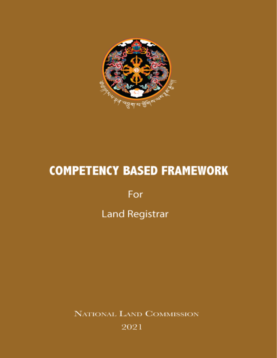

# **COMPETENCY BASED FRAMEWORK**

For **Land Registrar** 

NATIONAL LAND COMMISSION 2021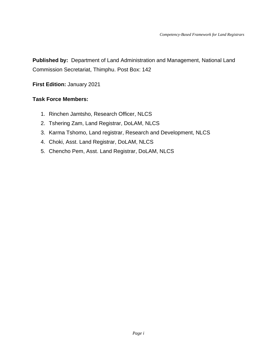**Published by:** Department of Land Administration and Management, National Land Commission Secretariat, Thimphu. Post Box: 142

**First Edition:** January 2021

#### **Task Force Members:**

- 1. Rinchen Jamtsho, Research Officer, NLCS
- 2. Tshering Zam, Land Registrar, DoLAM, NLCS
- 3. Karma Tshomo, Land registrar, Research and Development, NLCS
- 4. Choki, Asst. Land Registrar, DoLAM, NLCS
- 5. Chencho Pem, Asst. Land Registrar, DoLAM, NLCS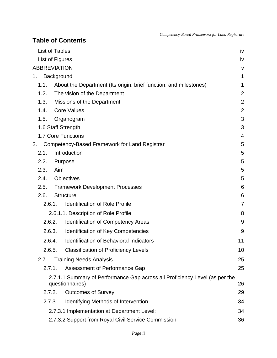|    | List of Tables      |                            |                                                                                                | iv             |
|----|---------------------|----------------------------|------------------------------------------------------------------------------------------------|----------------|
|    | List of Figures     |                            |                                                                                                | iv             |
|    | <b>ABBREVIATION</b> |                            |                                                                                                | v              |
| 1. |                     | Background                 |                                                                                                | 1              |
|    | 1.1.                |                            | About the Department (Its origin, brief function, and milestones)                              | 1              |
|    | 1.2.                |                            | The vision of the Department                                                                   | $\overline{2}$ |
|    | 1.3.                | Missions of the Department | $\overline{2}$                                                                                 |                |
|    | 1.4.                |                            | <b>Core Values</b>                                                                             | $\overline{2}$ |
|    | 1.5.                |                            | Organogram                                                                                     | 3              |
|    |                     |                            | 1.6 Staff Strength                                                                             | 3              |
|    |                     |                            | 1.7 Core Functions                                                                             | 4              |
| 2. |                     |                            | Competency-Based Framework for Land Registrar                                                  | 5              |
|    | 2.1.                |                            | Introduction                                                                                   | 5              |
|    | 2.2.                |                            | Purpose                                                                                        | 5              |
|    | 2.3.                | Aim                        |                                                                                                | 5              |
|    | 2.4.                |                            | Objectives                                                                                     | 5              |
|    | 2.5.                |                            | <b>Framework Development Processes</b>                                                         | 6              |
|    | 2.6.                |                            | <b>Structure</b>                                                                               | 6              |
|    | 2.6.1.              |                            | <b>Identification of Role Profile</b>                                                          | 7              |
|    |                     |                            | 2.6.1.1. Description of Role Profile                                                           | 8              |
|    | 2.6.2.              |                            | <b>Identification of Competency Areas</b>                                                      | 9              |
|    | 2.6.3.              |                            | <b>Identification of Key Competencies</b>                                                      | 9              |
|    | 2.6.4.              |                            | <b>Identification of Behavioral Indicators</b>                                                 | 11             |
|    | 2.6.5.              |                            | <b>Classification of Proficiency Levels</b>                                                    | 10             |
|    | 2.7.                |                            | <b>Training Needs Analysis</b>                                                                 | 25             |
|    | 2.7.1.              |                            | <b>Assessment of Performance Gap</b>                                                           | 25             |
|    |                     |                            | 2.7.1.1 Summary of Performance Gap across all Proficiency Level (as per the<br>questionnaires) | 26             |
|    | 2.7.2.              |                            | <b>Outcomes of Survey</b>                                                                      | 29             |
|    | 2.7.3.              |                            | Identifying Methods of Intervention                                                            | 34             |
|    |                     |                            | 2.7.3.1 Implementation at Department Level:                                                    | 34             |
|    |                     |                            | 2.7.3.2 Support from Royal Civil Service Commission                                            | 36             |

**Table of Contents**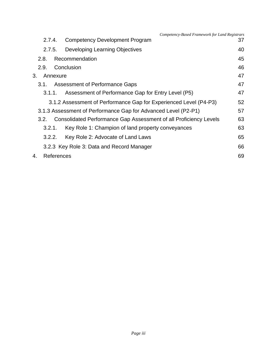|    |            | Competency-Based Framework for Land Registrars                    |    |
|----|------------|-------------------------------------------------------------------|----|
|    | 2.7.4.     | <b>Competency Development Program</b>                             | 37 |
|    | 2.7.5.     | Developing Learning Objectives                                    | 40 |
|    | 2.8.       | Recommendation                                                    | 45 |
|    | 2.9.       | Conclusion                                                        | 46 |
| 3. | Annexure   |                                                                   | 47 |
|    | 3.1.       | Assessment of Performance Gaps                                    | 47 |
|    | 3.1.1.     | Assessment of Performance Gap for Entry Level (P5)                | 47 |
|    |            | 3.1.2 Assessment of Performance Gap for Experienced Level (P4-P3) | 52 |
|    |            | 3.1.3 Assessment of Performance Gap for Advanced Level (P2-P1)    | 57 |
|    | 3.2.       | Consolidated Performance Gap Assessment of all Proficiency Levels | 63 |
|    | 3.2.1.     | Key Role 1: Champion of land property conveyances                 | 63 |
|    | 3.2.2.     | Key Role 2: Advocate of Land Laws                                 | 65 |
|    |            | 3.2.3 Key Role 3: Data and Record Manager                         | 66 |
| 4. | References |                                                                   | 69 |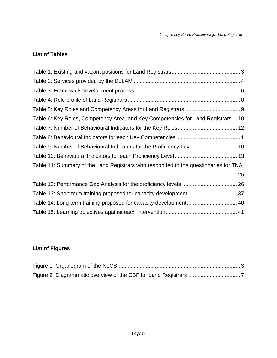## <span id="page-4-0"></span>**List of Tables**

| Table 6: Key Roles, Competency Area, and Key Competencies for Land Registrars  10   |  |
|-------------------------------------------------------------------------------------|--|
|                                                                                     |  |
|                                                                                     |  |
| Table 9: Number of Behavioural Indicators for the Proficiency Level 10              |  |
|                                                                                     |  |
| Table 11: Summary of the Land Registrars who responded to the questionaries for TNA |  |
|                                                                                     |  |
|                                                                                     |  |
|                                                                                     |  |
| Table 14: Long term training proposed for capacity development 40                   |  |
|                                                                                     |  |

# <span id="page-4-1"></span>**List of Figures**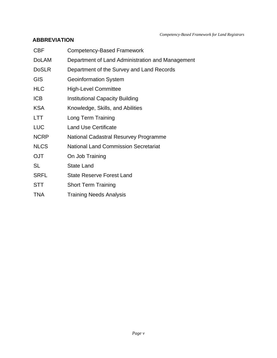*Competency-Based Framework for Land Registrars*

#### <span id="page-5-0"></span>**ABBREVIATION**

| <b>CBF</b>   | Competency-Based Framework                       |  |  |
|--------------|--------------------------------------------------|--|--|
| <b>DoLAM</b> | Department of Land Administration and Management |  |  |
| <b>DoSLR</b> | Department of the Survey and Land Records        |  |  |
| <b>GIS</b>   | <b>Geoinformation System</b>                     |  |  |
| <b>HLC</b>   | <b>High-Level Committee</b>                      |  |  |
| <b>ICB</b>   | <b>Institutional Capacity Building</b>           |  |  |
| <b>KSA</b>   | Knowledge, Skills, and Abilities                 |  |  |
| <b>LTT</b>   | Long Term Training                               |  |  |
| <b>LUC</b>   | <b>Land Use Certificate</b>                      |  |  |
| <b>NCRP</b>  | National Cadastral Resurvey Programme            |  |  |
| <b>NLCS</b>  | <b>National Land Commission Secretariat</b>      |  |  |
| <b>OJT</b>   | On Job Training                                  |  |  |
| SL           | <b>State Land</b>                                |  |  |
| <b>SRFL</b>  | <b>State Reserve Forest Land</b>                 |  |  |
| <b>STT</b>   | <b>Short Term Training</b>                       |  |  |
| <b>TNA</b>   | <b>Training Needs Analysis</b>                   |  |  |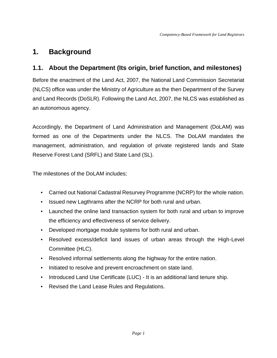# <span id="page-6-0"></span>**1. Background**

## <span id="page-6-1"></span>**1.1. About the Department (Its origin, brief function, and milestones)**

Before the enactment of the Land Act, 2007, the National Land Commission Secretariat (NLCS) office was under the Ministry of Agriculture as the then Department of the Survey and Land Records (DoSLR). Following the Land Act, 2007, the NLCS was established as an autonomous agency.

Accordingly, the Department of Land Administration and Management (DoLAM) was formed as one of the Departments under the NLCS. The DoLAM mandates the management, administration, and regulation of private registered lands and State Reserve Forest Land (SRFL) and State Land (SL).

The milestones of the DoLAM includes;

- Carried out National Cadastral Resurvey Programme (NCRP) for the whole nation.
- Issued new Lagthrams after the NCRP for both rural and urban.
- Launched the online land transaction system for both rural and urban to improve the efficiency and effectiveness of service delivery.
- Developed mortgage module systems for both rural and urban.
- Resolved excess/deficit land issues of urban areas through the High-Level Committee (HLC).
- Resolved informal settlements along the highway for the entire nation.
- Initiated to resolve and prevent encroachment on state land.
- Introduced Land Use Certificate (LUC) It is an additional land tenure ship.
- Revised the Land Lease Rules and Regulations.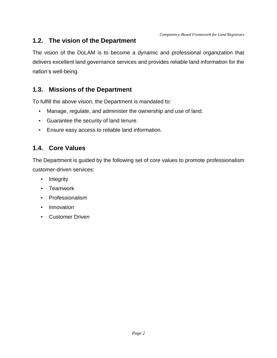## <span id="page-7-0"></span>**1.2. The vision of the Department**

The vision of the DoLAM is to become a dynamic and professional organization that delivers excellent land governance services and provides reliable land information for the nation's well-being.

## <span id="page-7-1"></span>**1.3. Missions of the Department**

To fulfill the above vision, the Department is mandated to:

- Manage, regulate, and administer the ownership and use of land.
- Guarantee the security of land tenure.
- Ensure easy access to reliable land information.

## <span id="page-7-2"></span>**1.4. Core Values**

The Department is guided by the following set of core values to promote professionalism customer-driven services:

- **•** Integrity
- Teamwork
- Professionalism
- **•** Innovation
- Customer Driven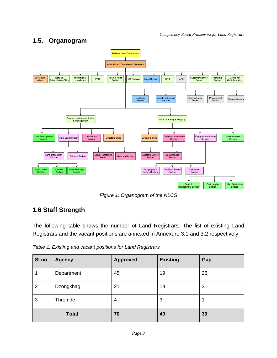# <span id="page-8-0"></span>**1.5. Organogram**



*Figure 1: Organogram of the NLCS*

# <span id="page-8-3"></span><span id="page-8-1"></span>**1.6 Staff Strength**

The following table shows the number of Land Registrars. The list of existing Land Registrars and the vacant positions are annexed in Annexure 3.1 and 3.2 respectively.

<span id="page-8-2"></span>*Table 1: Existing and vacant positions for Land Registrars*

| SI.no          | <b>Agency</b> | <b>Approved</b> | <b>Existing</b> | Gap |
|----------------|---------------|-----------------|-----------------|-----|
| 1              | Department    | 45              | 19              | 26  |
| $\overline{2}$ | Dzongkhag     | 21              | 18              | 3   |
| 3              | Thromde       | 4               | 3               | 1   |
| <b>Total</b>   |               | 70              | 40              | 30  |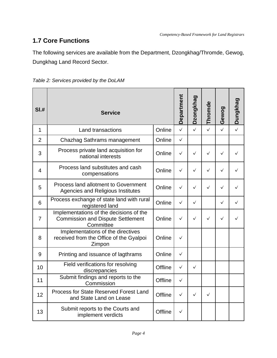# <span id="page-9-0"></span>**1.7 Core Functions**

The following services are available from the Department, Dzongkhag/Thromde, Gewog, Dungkhag Land Record Sector.

<span id="page-9-1"></span>

| Table 2: Services provided by the DoLAM |  |
|-----------------------------------------|--|
|-----------------------------------------|--|

| SI.#                     | <b>Service</b>                                                                                   |                | Department   | Dzongkhag    | Thromde      | Gewog        | Dungkhag |
|--------------------------|--------------------------------------------------------------------------------------------------|----------------|--------------|--------------|--------------|--------------|----------|
| $\mathbf{1}$             | <b>Land transactions</b>                                                                         | Online         | $\checkmark$ | $\checkmark$ | $\checkmark$ | $\checkmark$ |          |
| $\overline{2}$           | Chazhag Sathrams management                                                                      | Online         | $\checkmark$ |              |              |              |          |
| 3                        | Process private land acquisition for<br>national interests                                       | Online         | $\checkmark$ | $\checkmark$ | $\checkmark$ | $\checkmark$ |          |
| $\overline{\mathcal{L}}$ | Process land substitutes and cash<br>compensations                                               | Online         | $\checkmark$ | $\checkmark$ | $\checkmark$ | $\checkmark$ | ✓        |
| 5                        | Process land allotment to Government<br><b>Agencies and Religious Institutes</b>                 | Online         | $\checkmark$ | ✓            | $\checkmark$ | ✓            | ✓        |
| 6                        | Process exchange of state land with rural<br>registered land                                     | Online         | $\checkmark$ | $\checkmark$ |              | ✓            | ✓        |
| $\overline{7}$           | Implementations of the decisions of the<br><b>Commission and Dispute Settlement</b><br>Committee | Online         | $\checkmark$ | $\checkmark$ | $\checkmark$ | ✓            |          |
| 8                        | Implementations of the directives<br>received from the Office of the Gyalpoi<br>Zimpon           | Online         | $\checkmark$ |              |              |              |          |
| 9                        | Printing and issuance of lagthrams                                                               | Online         | $\checkmark$ |              |              |              |          |
| 10                       | Field verifications for resolving<br>discrepancies                                               | Offline        | $\checkmark$ | $\checkmark$ |              |              |          |
| 11                       | Submit findings and reports to the<br>Commission                                                 | Offline        | $\checkmark$ |              |              |              |          |
| 12                       | Process for State Reserved Forest Land<br>and State Land on Lease                                | Offline        | $\checkmark$ | $\checkmark$ | $\checkmark$ |              |          |
| 13                       | Submit reports to the Courts and<br>implement verdicts                                           | <b>Offline</b> | $\checkmark$ |              |              |              |          |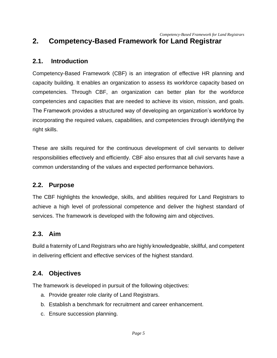# <span id="page-10-0"></span>**2. Competency-Based Framework for Land Registrar**

#### <span id="page-10-1"></span>**2.1. Introduction**

Competency-Based Framework (CBF) is an integration of effective HR planning and capacity building. It enables an organization to assess its workforce capacity based on competencies. Through CBF, an organization can better plan for the workforce competencies and capacities that are needed to achieve its vision, mission, and goals. The Framework provides a structured way of developing an organization's workforce by incorporating the required values, capabilities, and competencies through identifying the right skills.

These are skills required for the continuous development of civil servants to deliver responsibilities effectively and efficiently. CBF also ensures that all civil servants have a common understanding of the values and expected performance behaviors.

#### <span id="page-10-2"></span>**2.2. Purpose**

The CBF highlights the knowledge, skills, and abilities required for Land Registrars to achieve a high level of professional competence and deliver the highest standard of services. The framework is developed with the following aim and objectives.

#### <span id="page-10-3"></span>**2.3. Aim**

Build a fraternity of Land Registrars who are highly knowledgeable, skillful, and competent in delivering efficient and effective services of the highest standard.

#### <span id="page-10-4"></span>**2.4. Objectives**

The framework is developed in pursuit of the following objectives:

- a. Provide greater role clarity of Land Registrars.
- b. Establish a benchmark for recruitment and career enhancement.
- c. Ensure succession planning.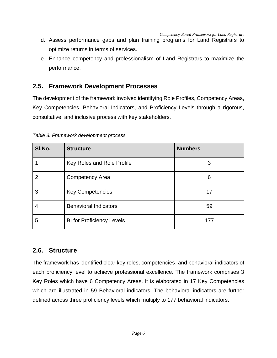*Competency-Based Framework for Land Registrars*

- d. Assess performance gaps and plan training programs for Land Registrars to optimize returns in terms of services.
- e. Enhance competency and professionalism of Land Registrars to maximize the performance.

#### <span id="page-11-0"></span>**2.5. Framework Development Processes**

The development of the framework involved identifying Role Profiles, Competency Areas, Key Competencies, Behavioral Indicators, and Proficiency Levels through a rigorous, consultative, and inclusive process with key stakeholders.

| SI.No. | <b>Structure</b>                 | <b>Numbers</b> |
|--------|----------------------------------|----------------|
|        | Key Roles and Role Profile       | 3              |
| 2      | <b>Competency Area</b>           | 6              |
| 3      | <b>Key Competencies</b>          | 17             |
| 4      | <b>Behavioral Indicators</b>     | 59             |
| 5      | <b>BI for Proficiency Levels</b> | 177            |

<span id="page-11-2"></span>*Table 3: Framework development process*

#### <span id="page-11-1"></span>**2.6. Structure**

The framework has identified clear key roles, competencies, and behavioral indicators of each proficiency level to achieve professional excellence. The framework comprises 3 Key Roles which have 6 Competency Areas. It is elaborated in 17 Key Competencies which are illustrated in 59 Behavioral indicators. The behavioral indicators are further defined across three proficiency levels which multiply to 177 behavioral indicators.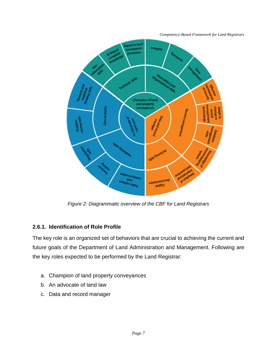*Competency-Based Framework for Land Registrars*



*Figure 2: Diagrammatic overview of the CBF for Land Registrars*

#### <span id="page-12-1"></span><span id="page-12-0"></span>**2.6.1. Identification of Role Profile**

The key role is an organized set of behaviors that are crucial to achieving the current and future goals of the Department of Land Administration and Management. Following are the key roles expected to be performed by the Land Registrar:

- a. Champion of land property conveyances
- b. An advocate of land law
- c. Data and record manager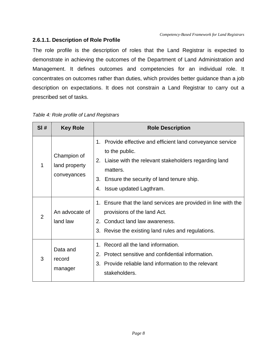#### <span id="page-13-0"></span>**2.6.1.1. Description of Role Profile**

The role profile is the description of roles that the Land Registrar is expected to demonstrate in achieving the outcomes of the Department of Land Administration and Management. It defines outcomes and competencies for an individual role. It concentrates on outcomes rather than duties, which provides better guidance than a job description on expectations. It does not constrain a Land Registrar to carry out a prescribed set of tasks.

| SI#            | <b>Key Role</b>                             | <b>Role Description</b>                                                                                                                                                                                                             |  |  |
|----------------|---------------------------------------------|-------------------------------------------------------------------------------------------------------------------------------------------------------------------------------------------------------------------------------------|--|--|
| 1              | Champion of<br>land property<br>conveyances | 1. Provide effective and efficient land conveyance service<br>to the public.<br>2. Liaise with the relevant stakeholders regarding land<br>matters.<br>3. Ensure the security of land tenure ship.<br>Issue updated Lagthram.<br>4. |  |  |
| $\overline{2}$ | An advocate of<br>land law                  | 1. Ensure that the land services are provided in line with the<br>provisions of the land Act.<br>2. Conduct land law awareness.<br>3. Revise the existing land rules and regulations.                                               |  |  |
| 3              | Data and<br>record<br>manager               | Record all the land information.<br>$1_{\ldots}$<br>2. Protect sensitive and confidential information.<br>Provide reliable land information to the relevant<br>3.<br>stakeholders.                                                  |  |  |

#### <span id="page-13-1"></span>*Table 4: Role profile of Land Registrars*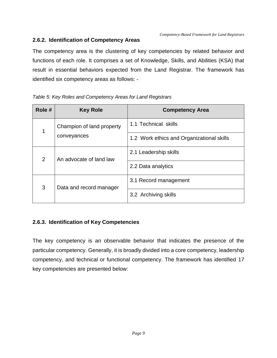#### <span id="page-14-0"></span>**2.6.2. Identification of Competency Areas**

The competency area is the clustering of key competencies by related behavior and functions of each role. It comprises a set of Knowledge, Skills, and Abilities (KSA) that result in essential behaviors expected from the Land Registrar. The framework has identified six competency areas as follows: -

| Role #         | <b>Key Role</b>           | <b>Competency Area</b>                    |
|----------------|---------------------------|-------------------------------------------|
| 1              | Champion of land property | 1.1 Technical skills                      |
|                | conveyances               | 1.2 Work ethics and Organizational skills |
| $\overline{2}$ | An advocate of land law   | 2.1 Leadership skills                     |
|                |                           | 2.2 Data analytics                        |
| 3              | Data and record manager   | 3.1 Record management                     |
|                |                           | 3.2 Archiving skills                      |

#### <span id="page-14-2"></span>*Table 5: Key Roles and Competency Areas for Land Registrars*

#### <span id="page-14-1"></span>**2.6.3. Identification of Key Competencies**

The key competency is an observable behavior that indicates the presence of the particular competency. Generally, it is broadly divided into a core competency, leadership competency, and technical or functional competency. The framework has identified 17 key competencies are presented below: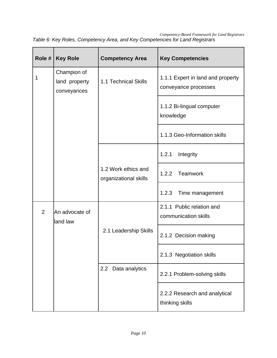| Role # | <b>Key Role</b>                             | <b>Competency Area</b>                       | <b>Key Competencies</b>                                   |
|--------|---------------------------------------------|----------------------------------------------|-----------------------------------------------------------|
| 1      | Champion of<br>land property<br>conveyances | 1.1 Technical Skills                         | 1.1.1 Expert in land and property<br>conveyance processes |
|        |                                             |                                              | 1.1.2 Bi-lingual computer<br>knowledge                    |
|        |                                             |                                              | 1.1.3 Geo-Information skills                              |
|        |                                             |                                              | 1.2.1<br>Integrity                                        |
|        |                                             | 1.2 Work ethics and<br>organizational skills | 1.2.2<br>Teamwork                                         |
|        |                                             |                                              | 1.2.3<br>Time management                                  |
| 2      | An advocate of<br>land law                  |                                              | 2.1.1 Public relation and<br>communication skills         |
|        |                                             | 2.1 Leadership Skills                        | 2.1.2 Decision making                                     |
|        |                                             |                                              | 2.1.3 Negotiation skills                                  |
|        |                                             | Data analytics<br>2.2                        | 2.2.1 Problem-solving skills                              |
|        |                                             |                                              | 2.2.2 Research and analytical<br>thinking skills          |

<span id="page-15-0"></span>*Competency-Based Framework for Land Registrars Table 6: Key Roles, Competency Area, and Key Competencies for Land Registrars*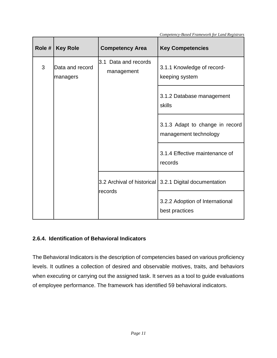| Role #                           | <b>Key Role</b>                    | <b>Competency Area</b>                       | <b>Key Competencies</b>                                  |
|----------------------------------|------------------------------------|----------------------------------------------|----------------------------------------------------------|
| 3<br>Data and record<br>managers | 3.1 Data and records<br>management | 3.1.1 Knowledge of record-<br>keeping system |                                                          |
|                                  |                                    |                                              | 3.1.2 Database management<br>skills                      |
|                                  |                                    |                                              | 3.1.3 Adapt to change in record<br>management technology |
|                                  |                                    |                                              | 3.1.4 Effective maintenance of<br>records                |
|                                  |                                    | 3.2 Archival of historical                   | 3.2.1 Digital documentation                              |
|                                  |                                    | records                                      | 3.2.2 Adoption of International<br>best practices        |

*Competency-Based Framework for Land Registrars*

#### <span id="page-16-0"></span>**2.6.4. Identification of Behavioral Indicators**

The Behavioral Indicators is the description of competencies based on various proficiency levels. It outlines a collection of desired and observable motives, traits, and behaviors when executing or carrying out the assigned task. It serves as a tool to guide evaluations of employee performance. The framework has identified 59 behavioral indicators.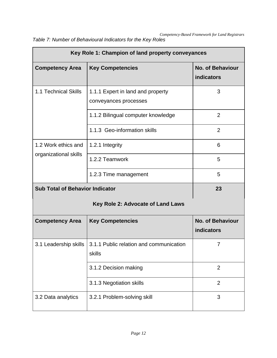| Key Role 1: Champion of land property conveyances |                                                            |                                              |
|---------------------------------------------------|------------------------------------------------------------|----------------------------------------------|
| <b>Competency Area</b>                            | <b>Key Competencies</b>                                    | <b>No. of Behaviour</b><br>indicators        |
| 1.1 Technical Skills                              | 1.1.1 Expert in land and property<br>conveyances processes | 3                                            |
|                                                   | 1.1.2 Bilingual computer knowledge                         | 2                                            |
|                                                   | 1.1.3 Geo-information skills                               | $\overline{2}$                               |
| 1.2 Work ethics and                               | 1.2.1 Integrity                                            | 6                                            |
| organizational skills                             | 1.2.2 Teamwork                                             | 5                                            |
|                                                   | 1.2.3 Time management                                      | 5                                            |
| <b>Sub Total of Behavior Indicator</b>            |                                                            | 23                                           |
|                                                   | Key Role 2: Advocate of Land Laws                          |                                              |
| <b>Competency Area</b>                            | <b>Key Competencies</b>                                    | <b>No. of Behaviour</b><br><b>indicators</b> |
| 3.1 Leadership skills                             | 3.1.1 Public relation and communication<br>skills          | 7                                            |
|                                                   | 3.1.2 Decision making                                      | $\overline{2}$                               |
|                                                   | 3.1.3 Negotiation skills                                   | $\overline{2}$                               |
| 3.2 Data analytics                                | 3.2.1 Problem-solving skill                                | 3                                            |

<span id="page-17-0"></span>*Table 7: Number of Behavioural Indicators for the Key Roles*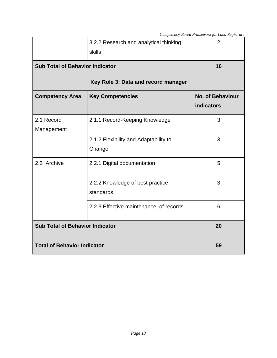|                                        | 3.2.2 Research and analytical thinking<br>skills | $\overline{2}$                               |  |
|----------------------------------------|--------------------------------------------------|----------------------------------------------|--|
|                                        | <b>Sub Total of Behavior Indicator</b>           |                                              |  |
|                                        | Key Role 3: Data and record manager              |                                              |  |
| <b>Competency Area</b>                 | <b>Key Competencies</b>                          | <b>No. of Behaviour</b><br><b>indicators</b> |  |
| 2.1 Record<br>Management               | 2.1.1 Record-Keeping Knowledge                   | 3                                            |  |
|                                        | 2.1.2 Flexibility and Adaptability to<br>Change  | 3                                            |  |
| 2.2 Archive                            | 2.2.1 Digital documentation                      | 5                                            |  |
|                                        | 2.2.2 Knowledge of best practice<br>standards    | 3                                            |  |
|                                        | 2.2.3 Effective maintenance of records           | 6                                            |  |
| <b>Sub Total of Behavior Indicator</b> |                                                  | 20                                           |  |
| <b>Total of Behavior Indicator</b>     |                                                  | 59                                           |  |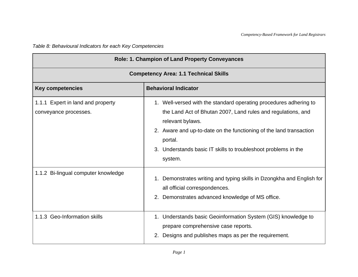*Table 8: Behavioural Indicators for each Key Competencies*

<span id="page-19-0"></span>

| Role: 1. Champion of Land Property Conveyances             |                                                                                                                                                                                                                                                                                                                     |  |
|------------------------------------------------------------|---------------------------------------------------------------------------------------------------------------------------------------------------------------------------------------------------------------------------------------------------------------------------------------------------------------------|--|
| <b>Competency Area: 1.1 Technical Skills</b>               |                                                                                                                                                                                                                                                                                                                     |  |
| <b>Key competencies</b>                                    | <b>Behavioral Indicator</b>                                                                                                                                                                                                                                                                                         |  |
| 1.1.1 Expert in land and property<br>conveyance processes. | 1. Well-versed with the standard operating procedures adhering to<br>the Land Act of Bhutan 2007, Land rules and regulations, and<br>relevant bylaws.<br>2. Aware and up-to-date on the functioning of the land transaction<br>portal.<br>3. Understands basic IT skills to troubleshoot problems in the<br>system. |  |
| 1.1.2 Bi-lingual computer knowledge                        | 1. Demonstrates writing and typing skills in Dzongkha and English for<br>all official correspondences.<br>2. Demonstrates advanced knowledge of MS office.                                                                                                                                                          |  |
| 1.1.3 Geo-Information skills                               | 1. Understands basic Geoinformation System (GIS) knowledge to<br>prepare comprehensive case reports.<br>Designs and publishes maps as per the requirement.<br>2.                                                                                                                                                    |  |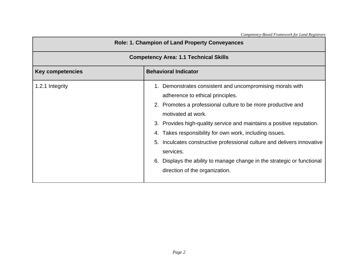| <b>Role: 1. Champion of Land Property Conveyances</b><br><b>Competency Area: 1.1 Technical Skills</b> |                                                                                                                                                                                                                                                                                                                                                                                                                                                                                                                                 |  |
|-------------------------------------------------------------------------------------------------------|---------------------------------------------------------------------------------------------------------------------------------------------------------------------------------------------------------------------------------------------------------------------------------------------------------------------------------------------------------------------------------------------------------------------------------------------------------------------------------------------------------------------------------|--|
|                                                                                                       |                                                                                                                                                                                                                                                                                                                                                                                                                                                                                                                                 |  |
| 1.2.1 Integrity                                                                                       | 1. Demonstrates consistent and uncompromising morals with<br>adherence to ethical principles.<br>2. Promotes a professional culture to be more productive and<br>motivated at work.<br>3. Provides high-quality service and maintains a positive reputation.<br>4. Takes responsibility for own work, including issues.<br>5. Inculcates constructive professional culture and delivers innovative<br>services.<br>Displays the ability to manage change in the strategic or functional<br>6.<br>direction of the organization. |  |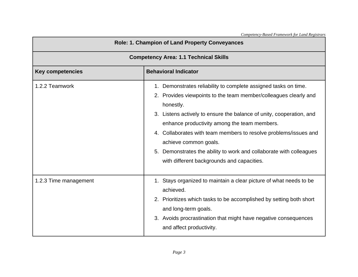| Role: 1. Champion of Land Property Conveyances         |                                                                                                                                                                                                                                                                                                                                                                                                                                                                                            |  |  |
|--------------------------------------------------------|--------------------------------------------------------------------------------------------------------------------------------------------------------------------------------------------------------------------------------------------------------------------------------------------------------------------------------------------------------------------------------------------------------------------------------------------------------------------------------------------|--|--|
| <b>Competency Area: 1.1 Technical Skills</b>           |                                                                                                                                                                                                                                                                                                                                                                                                                                                                                            |  |  |
| <b>Behavioral Indicator</b><br><b>Key competencies</b> |                                                                                                                                                                                                                                                                                                                                                                                                                                                                                            |  |  |
| 1.2.2 Teamwork                                         | 1. Demonstrates reliability to complete assigned tasks on time.<br>2. Provides viewpoints to the team member/colleagues clearly and<br>honestly.<br>3. Listens actively to ensure the balance of unity, cooperation, and<br>enhance productivity among the team members.<br>4. Collaborates with team members to resolve problems/issues and<br>achieve common goals.<br>5. Demonstrates the ability to work and collaborate with colleagues<br>with different backgrounds and capacities. |  |  |
| 1.2.3 Time management                                  | 1. Stays organized to maintain a clear picture of what needs to be<br>achieved.<br>2. Prioritizes which tasks to be accomplished by setting both short<br>and long-term goals.<br>3. Avoids procrastination that might have negative consequences<br>and affect productivity.                                                                                                                                                                                                              |  |  |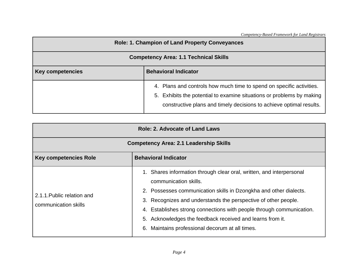*Competency-Based Framework for Land Registrars*

| <b>Role: 1. Champion of Land Property Conveyances</b>  |                                                                                                                                                                                                                      |
|--------------------------------------------------------|----------------------------------------------------------------------------------------------------------------------------------------------------------------------------------------------------------------------|
| <b>Competency Area: 1.1 Technical Skills</b>           |                                                                                                                                                                                                                      |
| <b>Behavioral Indicator</b><br><b>Key competencies</b> |                                                                                                                                                                                                                      |
|                                                        | 4. Plans and controls how much time to spend on specific activities.<br>5. Exhibits the potential to examine situations or problems by making<br>constructive plans and timely decisions to achieve optimal results. |

| <b>Role: 2. Advocate of Land Laws</b>                       |                                                                                                                                                                                                                                                                                                                                                                                                                                       |  |
|-------------------------------------------------------------|---------------------------------------------------------------------------------------------------------------------------------------------------------------------------------------------------------------------------------------------------------------------------------------------------------------------------------------------------------------------------------------------------------------------------------------|--|
| <b>Competency Area: 2.1 Leadership Skills</b>               |                                                                                                                                                                                                                                                                                                                                                                                                                                       |  |
| <b>Behavioral Indicator</b><br><b>Key competencies Role</b> |                                                                                                                                                                                                                                                                                                                                                                                                                                       |  |
| 2.1.1. Public relation and<br>communication skills          | 1. Shares information through clear oral, written, and interpersonal<br>communication skills.<br>2. Possesses communication skills in Dzongkha and other dialects.<br>3. Recognizes and understands the perspective of other people.<br>Establishes strong connections with people through communication.<br>4.<br>Acknowledges the feedback received and learns from it.<br>5.<br>Maintains professional decorum at all times.<br>6. |  |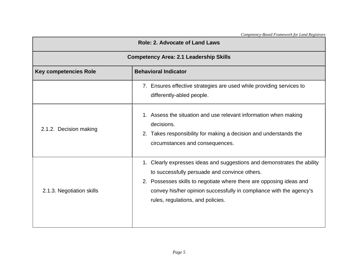| <b>Role: 2. Advocate of Land Laws</b>         |                                                                                                                                                                                                                                                                                                             |  |
|-----------------------------------------------|-------------------------------------------------------------------------------------------------------------------------------------------------------------------------------------------------------------------------------------------------------------------------------------------------------------|--|
| <b>Competency Area: 2.1 Leadership Skills</b> |                                                                                                                                                                                                                                                                                                             |  |
| <b>Key competencies Role</b>                  | <b>Behavioral Indicator</b>                                                                                                                                                                                                                                                                                 |  |
|                                               | 7. Ensures effective strategies are used while providing services to<br>differently-abled people.                                                                                                                                                                                                           |  |
| 2.1.2. Decision making                        | 1. Assess the situation and use relevant information when making<br>decisions.<br>2. Takes responsibility for making a decision and understands the<br>circumstances and consequences.                                                                                                                      |  |
| 2.1.3. Negotiation skills                     | 1. Clearly expresses ideas and suggestions and demonstrates the ability<br>to successfully persuade and convince others.<br>2. Possesses skills to negotiate where there are opposing ideas and<br>convey his/her opinion successfully in compliance with the agency's<br>rules, regulations, and policies. |  |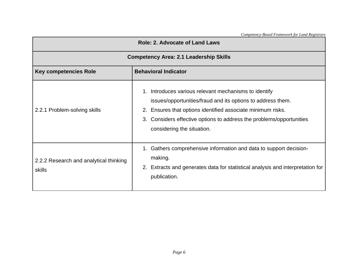| <b>Role: 2. Advocate of Land Laws</b>            |                                                                                                                                                                                                                                                                                              |  |
|--------------------------------------------------|----------------------------------------------------------------------------------------------------------------------------------------------------------------------------------------------------------------------------------------------------------------------------------------------|--|
| <b>Competency Area: 2.1 Leadership Skills</b>    |                                                                                                                                                                                                                                                                                              |  |
| <b>Key competencies Role</b>                     | <b>Behavioral Indicator</b>                                                                                                                                                                                                                                                                  |  |
| 2.2.1 Problem-solving skills                     | 1. Introduces various relevant mechanisms to identify<br>issues/opportunities/fraud and its options to address them.<br>Ensures that options identified associate minimum risks.<br>2.<br>3. Considers effective options to address the problems/opportunities<br>considering the situation. |  |
| 2.2.2 Research and analytical thinking<br>skills | 1. Gathers comprehensive information and data to support decision-<br>making.<br>2. Extracts and generates data for statistical analysis and interpretation for<br>publication.                                                                                                              |  |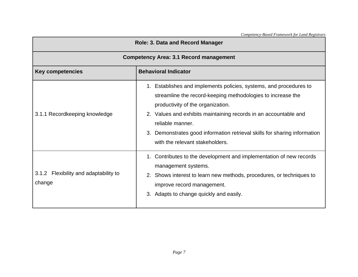| <b>Role: 3. Data and Record Manager</b>                |                                                                                                                                                                                                                                                                                                                                                                                |  |
|--------------------------------------------------------|--------------------------------------------------------------------------------------------------------------------------------------------------------------------------------------------------------------------------------------------------------------------------------------------------------------------------------------------------------------------------------|--|
| <b>Competency Area: 3.1 Record management</b>          |                                                                                                                                                                                                                                                                                                                                                                                |  |
| <b>Behavioral Indicator</b><br><b>Key competencies</b> |                                                                                                                                                                                                                                                                                                                                                                                |  |
| 3.1.1 Recordkeeping knowledge                          | 1. Establishes and implements policies, systems, and procedures to<br>streamline the record-keeping methodologies to increase the<br>productivity of the organization.<br>2. Values and exhibits maintaining records in an accountable and<br>reliable manner.<br>3. Demonstrates good information retrieval skills for sharing information<br>with the relevant stakeholders. |  |
| 3.1.2 Flexibility and adaptability to<br>change        | 1. Contributes to the development and implementation of new records<br>management systems.<br>2. Shows interest to learn new methods, procedures, or techniques to<br>improve record management.<br>3. Adapts to change quickly and easily.                                                                                                                                    |  |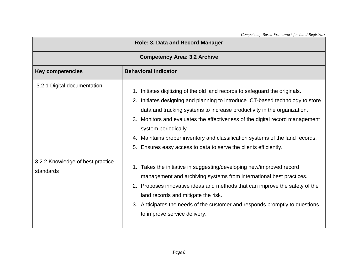| Role: 3. Data and Record Manager              |                                                                                                                                                                                                                                                                                                                                                                                                                                                                                                                |  |
|-----------------------------------------------|----------------------------------------------------------------------------------------------------------------------------------------------------------------------------------------------------------------------------------------------------------------------------------------------------------------------------------------------------------------------------------------------------------------------------------------------------------------------------------------------------------------|--|
| <b>Competency Area: 3.2 Archive</b>           |                                                                                                                                                                                                                                                                                                                                                                                                                                                                                                                |  |
| <b>Key competencies</b>                       | <b>Behavioral Indicator</b>                                                                                                                                                                                                                                                                                                                                                                                                                                                                                    |  |
| 3.2.1 Digital documentation                   | Initiates digitizing of the old land records to safeguard the originals.<br>1.<br>Initiates designing and planning to introduce ICT-based technology to store<br>2.<br>data and tracking systems to increase productivity in the organization.<br>3. Monitors and evaluates the effectiveness of the digital record management<br>system periodically.<br>4. Maintains proper inventory and classification systems of the land records.<br>Ensures easy access to data to serve the clients efficiently.<br>5. |  |
| 3.2.2 Knowledge of best practice<br>standards | 1. Takes the initiative in suggesting/developing new/improved record<br>management and archiving systems from international best practices.<br>Proposes innovative ideas and methods that can improve the safety of the<br>2.<br>land records and mitigate the risk.<br>3. Anticipates the needs of the customer and responds promptly to questions<br>to improve service delivery.                                                                                                                            |  |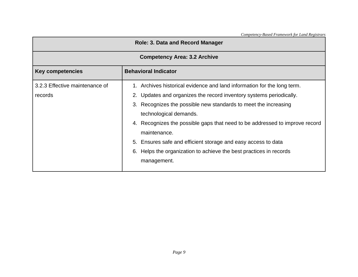| <b>Role: 3. Data and Record Manager</b>   |                                                                                                                                                                                                                                                                                                                                                                                                                                                                                                     |  |  |
|-------------------------------------------|-----------------------------------------------------------------------------------------------------------------------------------------------------------------------------------------------------------------------------------------------------------------------------------------------------------------------------------------------------------------------------------------------------------------------------------------------------------------------------------------------------|--|--|
| <b>Competency Area: 3.2 Archive</b>       |                                                                                                                                                                                                                                                                                                                                                                                                                                                                                                     |  |  |
| <b>Key competencies</b>                   | <b>Behavioral Indicator</b>                                                                                                                                                                                                                                                                                                                                                                                                                                                                         |  |  |
| 3.2.3 Effective maintenance of<br>records | 1. Archives historical evidence and land information for the long term.<br>2. Updates and organizes the record inventory systems periodically.<br>3. Recognizes the possible new standards to meet the increasing<br>technological demands.<br>4. Recognizes the possible gaps that need to be addressed to improve record<br>maintenance.<br>5. Ensures safe and efficient storage and easy access to data<br>Helps the organization to achieve the best practices in records<br>6.<br>management. |  |  |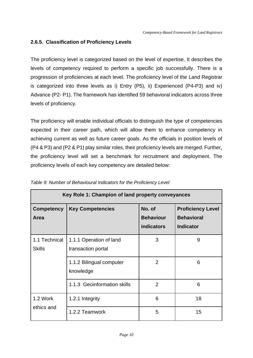#### <span id="page-28-0"></span>**2.6.5. Classification of Proficiency Levels**

The proficiency level is categorized based on the level of expertise. It describes the levels of competency required to perform a specific job successfully. There is a progression of proficiencies at each level. The proficiency level of the Land Registrar is categorized into three levels as i) Entry (P5), ii) Experienced (P4-P3) and iv) Advance (P2- P1). The framework has identified 59 behavioral indicators across three levels of proficiency.

The proficiency will enable individual officials to distinguish the type of competencies expected in their career path, which will allow them to enhance competency in achieving current as well as future career goals. As the officials in position levels of (P4 & P3) and (P2 & P1) play similar roles, their proficiency levels are merged. Further, the proficiency level will set a benchmark for recruitment and deployment. The proficiency levels of each key competency are detailed below:

| Key Role 1: Champion of land property conveyances |                                               |                                                 |                                                                   |
|---------------------------------------------------|-----------------------------------------------|-------------------------------------------------|-------------------------------------------------------------------|
| <b>Competency</b><br>Area                         | <b>Key Competencies</b>                       | No. of<br><b>Behaviour</b><br><b>indicators</b> | <b>Proficiency Level</b><br><b>Behavioral</b><br><b>Indicator</b> |
| 1.1 Technical<br><b>Skills</b>                    | 1.1.1 Operation of land<br>transaction portal | 3                                               | 9                                                                 |
|                                                   | 1.1.2 Bilingual computer<br>knowledge         | $\overline{2}$                                  | 6                                                                 |
|                                                   | 1.1.3 Geoinformation skills                   | $\overline{2}$                                  | 6                                                                 |
| 1.2 Work<br>ethics and                            | 1.2.1 Integrity                               | 6                                               | 18                                                                |
|                                                   | 1.2.2 Teamwork                                | 5                                               | 15                                                                |

<span id="page-28-1"></span>

|  | Table 9: Number of Behavioural Indicators for the Proficiency Level |  |  |  |  |  |
|--|---------------------------------------------------------------------|--|--|--|--|--|
|--|---------------------------------------------------------------------|--|--|--|--|--|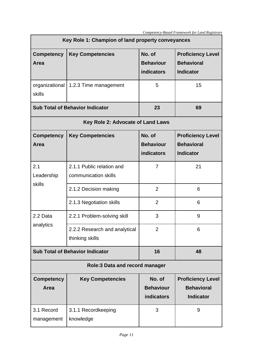| Key Role 1: Champion of land property conveyances |                                                   |                                                 |                                                                   |  |
|---------------------------------------------------|---------------------------------------------------|-------------------------------------------------|-------------------------------------------------------------------|--|
| <b>Competency</b><br>Area                         | <b>Key Competencies</b>                           | No. of<br><b>Behaviour</b><br>indicators        | <b>Proficiency Level</b><br><b>Behavioral</b><br><b>Indicator</b> |  |
| organizational<br>skills                          | 1.2.3 Time management                             | 5                                               | 15                                                                |  |
|                                                   | <b>Sub Total of Behavior Indicator</b>            | 23                                              | 69                                                                |  |
|                                                   | Key Role 2: Advocate of Land Laws                 |                                                 |                                                                   |  |
| <b>Competency</b><br>Area                         | <b>Key Competencies</b>                           | No. of<br><b>Behaviour</b><br>indicators        | <b>Proficiency Level</b><br><b>Behavioral</b><br><b>Indicator</b> |  |
| 2.1<br>Leadership<br>skills                       | 2.1.1 Public relation and<br>communication skills | 7                                               | 21                                                                |  |
|                                                   | 2.1.2 Decision making                             | $\overline{2}$                                  | 6                                                                 |  |
|                                                   | 2.1.3 Negotiation skills                          | $\overline{2}$                                  | 6                                                                 |  |
| 2.2 Data                                          | 2.2.1 Problem-solving skill                       | 3                                               | 9                                                                 |  |
| analytics                                         | 2.2.2 Research and analytical<br>thinking skills  | $\overline{2}$                                  | 6                                                                 |  |
|                                                   | <b>Sub Total of Behavior Indicator</b>            | 16                                              | 48                                                                |  |
| <b>Role:3 Data and record manager</b>             |                                                   |                                                 |                                                                   |  |
| <b>Competency</b><br>Area                         | <b>Key Competencies</b>                           | No. of<br><b>Behaviour</b><br><b>indicators</b> | <b>Proficiency Level</b><br><b>Behavioral</b><br><b>Indicator</b> |  |
| 3.1 Record<br>management                          | 3.1.1 Recordkeeping<br>knowledge                  | 3                                               | 9                                                                 |  |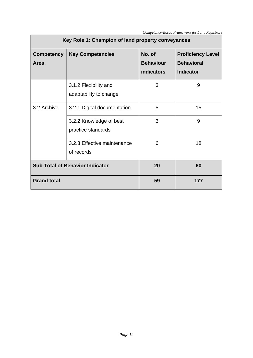| Key Role 1: Champion of land property conveyances    |                                                 |                                                 |                                                                   |
|------------------------------------------------------|-------------------------------------------------|-------------------------------------------------|-------------------------------------------------------------------|
| <b>Key Competencies</b><br><b>Competency</b><br>Area |                                                 | No. of<br><b>Behaviour</b><br><b>indicators</b> | <b>Proficiency Level</b><br><b>Behavioral</b><br><b>Indicator</b> |
|                                                      | 3.1.2 Flexibility and<br>adaptability to change | 3                                               | 9                                                                 |
| 3.2 Archive                                          | 3.2.1 Digital documentation                     | 5                                               | 15                                                                |
|                                                      | 3.2.2 Knowledge of best<br>practice standards   | 3                                               | 9                                                                 |
|                                                      | 3.2.3 Effective maintenance<br>of records       | 6                                               | 18                                                                |
| <b>Sub Total of Behavior Indicator</b>               |                                                 | 20                                              | 60                                                                |
| <b>Grand total</b>                                   |                                                 | 59                                              | 177                                                               |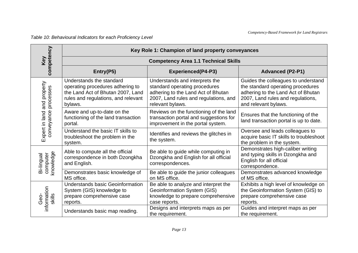*Table 10: Behavioural Indicators for each Proficiency Level*

<span id="page-31-0"></span>

| competency                                          |                                                                                                                                                     | Key Role 1: Champion of land property conveyances                                                                                                                       |                                                                                                                                                                             |
|-----------------------------------------------------|-----------------------------------------------------------------------------------------------------------------------------------------------------|-------------------------------------------------------------------------------------------------------------------------------------------------------------------------|-----------------------------------------------------------------------------------------------------------------------------------------------------------------------------|
| Key                                                 |                                                                                                                                                     | <b>Competency Area 1.1 Technical Skills</b>                                                                                                                             |                                                                                                                                                                             |
|                                                     | Entry(P5)                                                                                                                                           | <b>Experienced(P4-P3)</b>                                                                                                                                               | <b>Advanced (P2-P1)</b>                                                                                                                                                     |
| Expert in land and property<br>conveyance processes | Understands the standard<br>operating procedures adhering to<br>the Land Act of Bhutan 2007, Land<br>rules and regulations, and relevant<br>bylaws. | Understands and interprets the<br>standard operating procedures<br>adhering to the Land Act of Bhutan<br>2007, Land rules and regulations, and<br>relevant bylaws.      | Guides the colleagues to understand<br>the standard operating procedures<br>adhering to the Land Act of Bhutan<br>2007, Land rules and regulations,<br>and relevant bylaws. |
|                                                     | Aware and up-to-date on the<br>functioning of the land transaction<br>portal.                                                                       | Reviews on the functioning of the land<br>transaction portal and suggestions for<br>improvement in the portal system.                                                   | Ensures that the functioning of the<br>land transaction portal is up to date.                                                                                               |
|                                                     | Understand the basic IT skills to<br>troubleshoot the problem in the<br>system.                                                                     | Identifies and reviews the glitches in<br>the system.                                                                                                                   | Oversee and leads colleagues to<br>acquire basic IT skills to troubleshoot<br>the problem in the system.                                                                    |
| computer<br>knowledge<br>Bi-lingual                 | Able to compute all the official<br>correspondence in both Dzongkha<br>and English.                                                                 | Be able to guide while computing in<br>Dzongkha and English for all official<br>correspondences.                                                                        | Demonstrates high-caliber writing<br>and typing skills in Dzongkha and<br>English for all official<br>correspondence.                                                       |
|                                                     | Demonstrates basic knowledge of<br>MS office.                                                                                                       | Be able to guide the junior colleagues<br>on MS office.                                                                                                                 | Demonstrates advanced knowledge<br>of MS office.                                                                                                                            |
| information<br>skills<br>Ġeo-                       | <b>Understands basic Geoinformation</b><br>System (GIS) knowledge to<br>prepare comprehensive case<br>reports.                                      | Be able to analyze and interpret the<br><b>Geoinformation System (GIS)</b><br>knowledge to prepare comprehensive<br>case reports.<br>Designs and interprets maps as per | Exhibits a high level of knowledge on<br>the Geoinformation System (GIS) to<br>prepare comprehensive case<br>reports.<br>Guides and interpret maps as per                   |
|                                                     | Understands basic map reading.                                                                                                                      | the requirement.                                                                                                                                                        | the requirement.                                                                                                                                                            |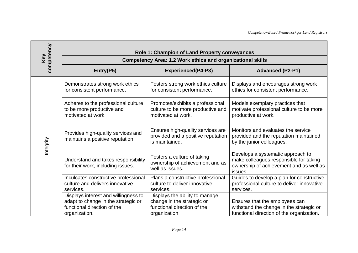| competency | Role 1: Champion of Land Property conveyances                                                                               |                                                                                                              |                                                                                                                                   |
|------------|-----------------------------------------------------------------------------------------------------------------------------|--------------------------------------------------------------------------------------------------------------|-----------------------------------------------------------------------------------------------------------------------------------|
| Key        |                                                                                                                             | <b>Competency Area: 1.2 Work ethics and organizational skills</b>                                            |                                                                                                                                   |
|            | Entry(P5)                                                                                                                   | <b>Experienced(P4-P3)</b>                                                                                    | <b>Advanced (P2-P1)</b>                                                                                                           |
|            | Demonstrates strong work ethics<br>for consistent performance.                                                              | Fosters strong work ethics culture<br>for consistent performance.                                            | Displays and encourages strong work<br>ethics for consistent performance.                                                         |
|            | Adheres to the professional culture<br>to be more productive and<br>motivated at work.                                      | Promotes/exhibits a professional<br>culture to be more productive and<br>motivated at work.                  | Models exemplary practices that<br>motivate professional culture to be more<br>productive at work.                                |
| Integrity  | Provides high-quality services and<br>maintains a positive reputation.                                                      | Ensures high-quality services are<br>provided and a positive reputation<br>is maintained.                    | Monitors and evaluates the service<br>provided and the reputation maintained<br>by the junior colleagues.                         |
|            | Understand and takes responsibility<br>for their work, including issues.                                                    | Fosters a culture of taking<br>ownership of achievement and as<br>well as issues.                            | Develops a systematic approach to<br>make colleagues responsible for taking<br>ownership of achievement and as well as<br>issues. |
|            | Inculcates constructive professional<br>culture and delivers innovative<br>services.                                        | Plans a constructive professional<br>culture to deliver innovative<br>services.                              | Guides to develop a plan for constructive<br>professional culture to deliver innovative<br>services.                              |
|            | Displays interest and willingness to<br>adapt to change in the strategic or<br>functional direction of the<br>organization. | Displays the ability to manage<br>change in the strategic or<br>functional direction of the<br>organization. | Ensures that the employees can<br>withstand the change in the strategic or<br>functional direction of the organization.           |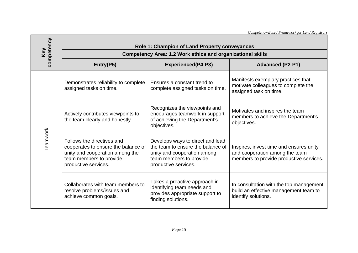|            |                                                                                                                                                         |                                                                                                                                                         | Competency-Based Framework for Land Registrars                                                                       |
|------------|---------------------------------------------------------------------------------------------------------------------------------------------------------|---------------------------------------------------------------------------------------------------------------------------------------------------------|----------------------------------------------------------------------------------------------------------------------|
| competency |                                                                                                                                                         | Role 1: Champion of Land Property conveyances                                                                                                           |                                                                                                                      |
| Key        |                                                                                                                                                         | <b>Competency Area: 1.2 Work ethics and organizational skills</b>                                                                                       |                                                                                                                      |
|            | Entry(P5)                                                                                                                                               | <b>Experienced(P4-P3)</b>                                                                                                                               | <b>Advanced (P2-P1)</b>                                                                                              |
|            | Demonstrates reliability to complete<br>assigned tasks on time.                                                                                         | Ensures a constant trend to<br>complete assigned tasks on time.                                                                                         | Manifests exemplary practices that<br>motivate colleagues to complete the<br>assigned task on time.                  |
| Teamwork   | Actively contributes viewpoints to<br>the team clearly and honestly.                                                                                    | Recognizes the viewpoints and<br>encourages teamwork in support<br>of achieving the Department's<br>objectives.                                         | Motivates and inspires the team<br>members to achieve the Department's<br>objectives.                                |
|            | Follows the directives and<br>cooperates to ensure the balance of<br>unity and cooperation among the<br>team members to provide<br>productive services. | Develops ways to direct and lead<br>the team to ensure the balance of<br>unity and cooperation among<br>team members to provide<br>productive services. | Inspires, invest time and ensures unity<br>and cooperation among the team<br>members to provide productive services. |
|            | Collaborates with team members to<br>resolve problems/issues and<br>achieve common goals.                                                               | Takes a proactive approach in<br>identifying team needs and<br>provides appropriate support to<br>finding solutions.                                    | In consultation with the top management,<br>build an effective management team to<br>identify solutions.             |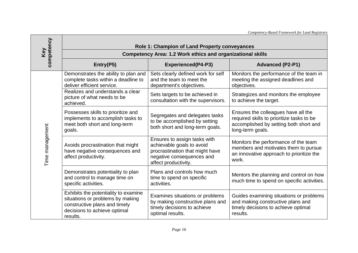|                 |                                                                                                                                                       |                                                                                                                                                   | Competency-Based Framework for Land Registrars                                                                                                 |  |
|-----------------|-------------------------------------------------------------------------------------------------------------------------------------------------------|---------------------------------------------------------------------------------------------------------------------------------------------------|------------------------------------------------------------------------------------------------------------------------------------------------|--|
| competency      | Role 1: Champion of Land Property conveyances                                                                                                         |                                                                                                                                                   |                                                                                                                                                |  |
| Key             |                                                                                                                                                       | <b>Competency Area: 1.2 Work ethics and organizational skills</b>                                                                                 |                                                                                                                                                |  |
|                 | Entry(P5)                                                                                                                                             | <b>Experienced(P4-P3)</b>                                                                                                                         | <b>Advanced (P2-P1)</b>                                                                                                                        |  |
| Time management | Demonstrates the ability to plan and<br>complete tasks within a deadline to<br>deliver efficient service.                                             | Sets clearly defined work for self<br>and the team to meet the<br>department's objectives.                                                        | Monitors the performance of the team in<br>meeting the assigned deadlines and<br>objectives.                                                   |  |
|                 | Realizes and understands a clear<br>picture of what needs to be<br>achieved.                                                                          | Sets targets to be achieved in<br>consultation with the supervisors.                                                                              | Strategizes and monitors the employee<br>to achieve the target.                                                                                |  |
|                 | Possesses skills to prioritize and<br>implements to accomplish tasks to<br>meet both short and long-term<br>goals.                                    | Segregates and delegates tasks<br>to be accomplished by setting<br>both short and long-term goals.                                                | Ensures the colleagues have all the<br>required skills to prioritize tasks to be<br>accomplished by setting both short and<br>long-term goals. |  |
|                 | Avoids procrastination that might<br>have negative consequences and<br>affect productivity.                                                           | Ensures to assign tasks with<br>achievable goals to avoid<br>procrastination that might have<br>negative consequences and<br>affect productivity. | Monitors the performance of the team<br>members and motivates them to pursue<br>an innovative approach to prioritize the<br>work.              |  |
|                 | Demonstrates potentiality to plan<br>and control to manage time on<br>specific activities.                                                            | Plans and controls how much<br>time to spend on specific<br>activities.                                                                           | Mentors the planning and control on how<br>much time to spend on specific activities.                                                          |  |
|                 | Exhibits the potentiality to examine<br>situations or problems by making<br>constructive plans and timely<br>decisions to achieve optimal<br>results. | Examines situations or problems<br>by making constructive plans and<br>timely decisions to achieve<br>optimal results.                            | Guides examining situations or problems<br>and making constructive plans and<br>timely decisions to achieve optimal<br>results.                |  |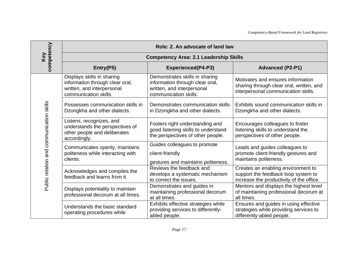| competency                               | Role: 2. An advocate of land law                                                                                     |                                                                                                                          |                                                                                                                       |
|------------------------------------------|----------------------------------------------------------------------------------------------------------------------|--------------------------------------------------------------------------------------------------------------------------|-----------------------------------------------------------------------------------------------------------------------|
| Key                                      |                                                                                                                      | <b>Competency Area: 2.1 Leadership Skills</b>                                                                            |                                                                                                                       |
|                                          | Entry(P5)                                                                                                            | <b>Experienced(P4-P3)</b>                                                                                                | <b>Advanced (P2-P1)</b>                                                                                               |
|                                          | Displays skills in sharing<br>information through clear oral,<br>written, and interpersonal<br>communication skills. | Demonstrates skills in sharing<br>information through clear oral,<br>written, and interpersonal<br>communication skills. | Motivates and ensures information<br>sharing through clear oral, written, and<br>interpersonal communication skills.  |
|                                          | Possesses communication skills in<br>Dzongkha and other dialects.                                                    | Demonstrates communication skills<br>in Dzongkha and other dialects.                                                     | Exhibits sound communication skills in<br>Dzongkha and other dialects.                                                |
| Public relation and communication skills | Listens, recognizes, and<br>understands the perspectives of<br>other people and deliberates<br>accordingly.          | Fosters right understanding and<br>good listening skills to understand<br>the perspectives of other people.              | Encourages colleagues to foster<br>listening skills to understand the<br>perspectives of other people.                |
|                                          | Communicates openly, maintains<br>politeness while interacting with<br>clients.                                      | Guides colleagues to promote<br>client-friendly<br>gestures and maintains politeness.                                    | Leads and guides colleagues to<br>promote client-friendly gestures and<br>maintains politeness.                       |
|                                          | Acknowledges and compiles the<br>feedback and learns from it.                                                        | Reviews the feedback and<br>develops a systematic mechanism<br>to correct the issues.                                    | Creates an enabling environment to<br>support the feedback loop system to<br>increase the productivity of the office. |
|                                          | Displays potentiality to maintain<br>professional decorum at all times.                                              | Demonstrates and guides in<br>maintaining professional decorum<br>at all times.                                          | Mentors and displays the highest level<br>of maintaining professional decorum at<br>all times.                        |
|                                          | Understands the basic standard<br>operating procedures while                                                         | Exhibits effective strategies while<br>providing services to differently-<br>abled people.                               | Ensures and guides in using effective<br>strategies while providing services to<br>differently-abled people.          |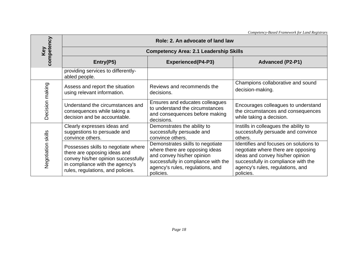|                    |                                                                                                                                                                                    |                                                                                                                                                                                          | Competency-Based Framework for Land Registrars                                                                                                                                                           |  |  |
|--------------------|------------------------------------------------------------------------------------------------------------------------------------------------------------------------------------|------------------------------------------------------------------------------------------------------------------------------------------------------------------------------------------|----------------------------------------------------------------------------------------------------------------------------------------------------------------------------------------------------------|--|--|
|                    | Role: 2. An advocate of land law                                                                                                                                                   |                                                                                                                                                                                          |                                                                                                                                                                                                          |  |  |
| competency<br>Key  |                                                                                                                                                                                    | <b>Competency Area: 2.1 Leadership Skills</b>                                                                                                                                            |                                                                                                                                                                                                          |  |  |
|                    | Entry(P5)                                                                                                                                                                          | <b>Experienced(P4-P3)</b>                                                                                                                                                                | <b>Advanced (P2-P1)</b>                                                                                                                                                                                  |  |  |
|                    | providing services to differently-<br>abled people.                                                                                                                                |                                                                                                                                                                                          |                                                                                                                                                                                                          |  |  |
| Decision making    | Assess and report the situation<br>using relevant information.                                                                                                                     | Reviews and recommends the<br>decisions.                                                                                                                                                 | Champions collaborative and sound<br>decision-making.                                                                                                                                                    |  |  |
|                    | Understand the circumstances and<br>consequences while taking a<br>decision and be accountable.                                                                                    | Ensures and educates colleagues<br>to understand the circumstances<br>and consequences before making<br>decisions.                                                                       | Encourages colleagues to understand<br>the circumstances and consequences<br>while taking a decision.                                                                                                    |  |  |
| Negotiation skills | Clearly expresses ideas and<br>suggestions to persuade and<br>convince others.                                                                                                     | Demonstrates the ability to<br>successfully persuade and<br>convince others.                                                                                                             | Instills in colleagues the ability to<br>successfully persuade and convince<br>others.                                                                                                                   |  |  |
|                    | Possesses skills to negotiate where<br>there are opposing ideas and<br>convey his/her opinion successfully<br>in compliance with the agency's<br>rules, regulations, and policies. | Demonstrates skills to negotiate<br>where there are opposing ideas<br>and convey his/her opinion<br>successfully in compliance with the<br>agency's rules, regulations, and<br>policies. | Identifies and focuses on solutions to<br>negotiate where there are opposing<br>ideas and convey his/her opinion<br>successfully in compliance with the<br>agency's rules, regulations, and<br>policies. |  |  |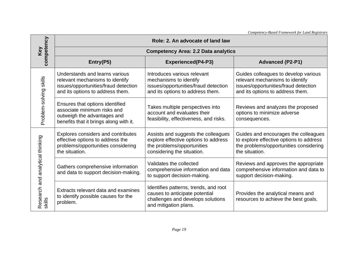|                                            |                                                                                                                                               |                                                                                                                                         | Competency-Based Framework for Land Registrars                                                                                                      |  |
|--------------------------------------------|-----------------------------------------------------------------------------------------------------------------------------------------------|-----------------------------------------------------------------------------------------------------------------------------------------|-----------------------------------------------------------------------------------------------------------------------------------------------------|--|
| competency                                 | Role: 2. An advocate of land law                                                                                                              |                                                                                                                                         |                                                                                                                                                     |  |
| Key                                        |                                                                                                                                               | <b>Competency Area: 2.2 Data analytics</b>                                                                                              |                                                                                                                                                     |  |
|                                            | Entry(P5)                                                                                                                                     | <b>Experienced(P4-P3)</b>                                                                                                               | <b>Advanced (P2-P1)</b>                                                                                                                             |  |
| Problem-solving skills                     | Understands and learns various<br>relevant mechanisms to identify<br>issues/opportunities/fraud detection<br>and its options to address them. | Introduces various relevant<br>mechanisms to identify<br>issues/opportunities/fraud detection<br>and its options to address them.       | Guides colleagues to develop various<br>relevant mechanisms to identify<br>issues/opportunities/fraud detection<br>and its options to address them. |  |
|                                            | Ensures that options identified<br>associate minimum risks and<br>outweigh the advantages and<br>benefits that it brings along with it.       | Takes multiple perspectives into<br>account and evaluates their<br>feasibility, effectiveness, and risks.                               | Reviews and analyzes the proposed<br>options to minimize adverse<br>consequences.                                                                   |  |
| Research and analytical thinking<br>skills | Explores considers and contributes<br>effective options to address the<br>problems/opportunities considering<br>the situation.                | Assists and suggests the colleagues<br>explore effective options to address<br>the problems/opportunities<br>considering the situation. | Guides and encourages the colleagues<br>to explore effective options to address<br>the problems/opportunities considering<br>the situation.         |  |
|                                            | Gathers comprehensive information<br>and data to support decision-making.                                                                     | Validates the collected<br>comprehensive information and data<br>to support decision-making.                                            | Reviews and approves the appropriate<br>comprehensive information and data to<br>support decision-making.                                           |  |
|                                            | Extracts relevant data and examines<br>to identify possible causes for the<br>problem.                                                        | Identifies patterns, trends, and root<br>causes to anticipate potential<br>challenges and develops solutions<br>and mitigation plans.   | Provides the analytical means and<br>resources to achieve the best goals.                                                                           |  |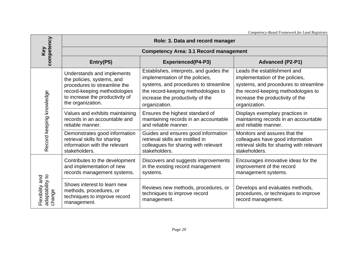|                                                                          |                                                                                                                                                                                  |                                                                                                                                                                                                                 | Competency-Based Framework for Land Registrars                                                                                                                                                      |  |
|--------------------------------------------------------------------------|----------------------------------------------------------------------------------------------------------------------------------------------------------------------------------|-----------------------------------------------------------------------------------------------------------------------------------------------------------------------------------------------------------------|-----------------------------------------------------------------------------------------------------------------------------------------------------------------------------------------------------|--|
|                                                                          | Role: 3. Data and record manager                                                                                                                                                 |                                                                                                                                                                                                                 |                                                                                                                                                                                                     |  |
| Key                                                                      |                                                                                                                                                                                  | <b>Competency Area: 3.1 Record management</b>                                                                                                                                                                   |                                                                                                                                                                                                     |  |
| competency                                                               | Entry(P5)                                                                                                                                                                        | <b>Experienced(P4-P3)</b>                                                                                                                                                                                       | <b>Advanced (P2-P1)</b>                                                                                                                                                                             |  |
| Record keeping knowledge<br>adaptability to<br>Flexibility and<br>change | Understands and implements<br>the policies, systems, and<br>procedures to streamline the<br>record-keeping methodologies<br>to increase the productivity of<br>the organization. | Establishes, interprets, and guides the<br>implementation of the policies,<br>systems, and procedures to streamline<br>the record-keeping methodologies to<br>increase the productivity of the<br>organization. | Leads the establishment and<br>implementation of the policies,<br>systems, and procedures to streamline<br>the record-keeping methodologies to<br>increase the productivity of the<br>organization. |  |
|                                                                          | Values and exhibits maintaining<br>records in an accountable and<br>reliable manner.                                                                                             | Ensures the highest standard of<br>maintaining records in an accountable<br>and reliable manner.                                                                                                                | Displays exemplary practices in<br>maintaining records in an accountable<br>and reliable manner.                                                                                                    |  |
|                                                                          | Demonstrates good information<br>retrieval skills for sharing<br>information with the relevant<br>stakeholders.                                                                  | Guides and ensures good information<br>retrieval skills are instilled in<br>colleagues for sharing with relevant<br>stakeholders.                                                                               | Monitors and assures that the<br>colleagues have good information<br>retrieval skills for sharing with relevant<br>stakeholders.                                                                    |  |
|                                                                          | Contributes to the development<br>and implementation of new<br>records management systems.                                                                                       | Discovers and suggests improvements<br>in the existing record management<br>systems.                                                                                                                            | Encourages innovative ideas for the<br>improvement of the record<br>management systems.                                                                                                             |  |
|                                                                          | Shows interest to learn new<br>methods, procedures, or<br>techniques to improve record<br>management.                                                                            | Reviews new methods, procedures, or<br>techniques to improve record<br>management.                                                                                                                              | Develops and evaluates methods,<br>procedures, or techniques to improve<br>record management.                                                                                                       |  |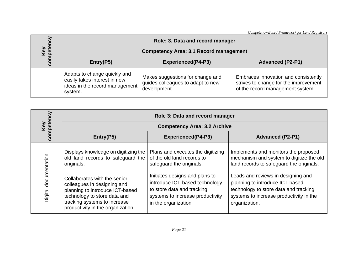|                   |                                                                                                           | Competency-Based Framework for Land Registrars                                        |                                                                                                                   |  |
|-------------------|-----------------------------------------------------------------------------------------------------------|---------------------------------------------------------------------------------------|-------------------------------------------------------------------------------------------------------------------|--|
|                   | Role: 3. Data and record manager                                                                          |                                                                                       |                                                                                                                   |  |
|                   | <b>Competency Area: 3.1 Record management</b>                                                             |                                                                                       |                                                                                                                   |  |
| Key<br>competency | Entry(P5)                                                                                                 | <b>Experienced(P4-P3)</b>                                                             | <b>Advanced (P2-P1)</b>                                                                                           |  |
|                   | Adapts to change quickly and<br>easily takes interest in new<br>ideas in the record management<br>system. | Makes suggestions for change and<br>guides colleagues to adapt to new<br>development. | Embraces innovation and consistently<br>strives to change for the improvement<br>of the record management system. |  |

|                       | Role 3: Data and record manager                                                                                                                                                                     |                                                                                                                                                            |                                                                                                                                                                            |  |
|-----------------------|-----------------------------------------------------------------------------------------------------------------------------------------------------------------------------------------------------|------------------------------------------------------------------------------------------------------------------------------------------------------------|----------------------------------------------------------------------------------------------------------------------------------------------------------------------------|--|
|                       |                                                                                                                                                                                                     | <b>Competency Area: 3.2 Archive</b>                                                                                                                        |                                                                                                                                                                            |  |
| Key<br>competency     | Entry(P5)                                                                                                                                                                                           | <b>Experienced(P4-P3)</b>                                                                                                                                  | <b>Advanced (P2-P1)</b>                                                                                                                                                    |  |
| Digital documentation | Displays knowledge on digitizing the<br>old land records to safeguard the<br>originals.                                                                                                             | Plans and executes the digitizing<br>of the old land records to<br>safeguard the originals.                                                                | Implements and monitors the proposed<br>mechanism and system to digitize the old<br>land records to safeguard the originals.                                               |  |
|                       | Collaborates with the senior<br>colleagues in designing and<br>planning to introduce ICT-based<br>technology to store data and<br>tracking systems to increase<br>productivity in the organization. | Initiates designs and plans to<br>introduce ICT-based technology<br>to store data and tracking<br>systems to increase productivity<br>in the organization. | Leads and reviews in designing and<br>planning to introduce ICT-based<br>technology to store data and tracking<br>systems to increase productivity in the<br>organization. |  |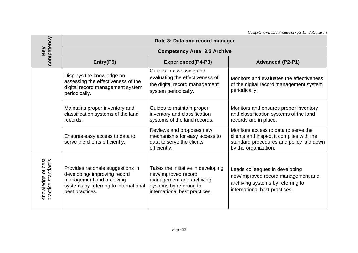|                                            |                                                                                                                                                           |                                                                                                                                                   | Competency-Based Framework for Land Registrars                                                                                                       |  |  |
|--------------------------------------------|-----------------------------------------------------------------------------------------------------------------------------------------------------------|---------------------------------------------------------------------------------------------------------------------------------------------------|------------------------------------------------------------------------------------------------------------------------------------------------------|--|--|
|                                            | Role 3: Data and record manager                                                                                                                           |                                                                                                                                                   |                                                                                                                                                      |  |  |
| competency<br>Key                          |                                                                                                                                                           | <b>Competency Area: 3.2 Archive</b>                                                                                                               |                                                                                                                                                      |  |  |
|                                            | Entry(P5)                                                                                                                                                 | <b>Experienced(P4-P3)</b>                                                                                                                         | <b>Advanced (P2-P1)</b>                                                                                                                              |  |  |
|                                            | Displays the knowledge on<br>assessing the effectiveness of the<br>digital record management system<br>periodically.                                      | Guides in assessing and<br>evaluating the effectiveness of<br>the digital record management<br>system periodically.                               | Monitors and evaluates the effectiveness<br>of the digital record management system<br>periodically.                                                 |  |  |
|                                            | Maintains proper inventory and<br>classification systems of the land<br>records.                                                                          | Guides to maintain proper<br>inventory and classification<br>systems of the land records.                                                         | Monitors and ensures proper inventory<br>and classification systems of the land<br>records are in place.                                             |  |  |
|                                            | Ensures easy access to data to<br>serve the clients efficiently.                                                                                          | Reviews and proposes new<br>mechanisms for easy access to<br>data to serve the clients<br>efficiently.                                            | Monitors access to data to serve the<br>clients and inspect it complies with the<br>standard procedures and policy laid down<br>by the organization. |  |  |
| Knowledge of best<br>standards<br>practice | Provides rationale suggestions in<br>developing/ improving record<br>management and archiving<br>systems by referring to international<br>best practices. | Takes the initiative in developing<br>new/improved record<br>management and archiving<br>systems by referring to<br>international best practices. | Leads colleagues in developing<br>new/improved record management and<br>archiving systems by referring to<br>international best practices.           |  |  |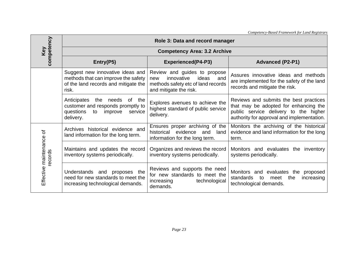|                                       |                                                                                                                                     |                                                                                                                                   | Competency-Based Framework for Land Registrars                                                                                                                         |  |  |
|---------------------------------------|-------------------------------------------------------------------------------------------------------------------------------------|-----------------------------------------------------------------------------------------------------------------------------------|------------------------------------------------------------------------------------------------------------------------------------------------------------------------|--|--|
| competency                            | Role 3: Data and record manager                                                                                                     |                                                                                                                                   |                                                                                                                                                                        |  |  |
| Key                                   |                                                                                                                                     | <b>Competency Area: 3.2 Archive</b>                                                                                               |                                                                                                                                                                        |  |  |
|                                       | Entry(P5)                                                                                                                           | <b>Experienced(P4-P3)</b>                                                                                                         | <b>Advanced (P2-P1)</b>                                                                                                                                                |  |  |
|                                       | Suggest new innovative ideas and<br>methods that can improve the safety<br>of the land records and mitigate the<br>risk.            | Review and guides to propose<br>innovative<br>ideas<br>and<br>new<br>methods safety etc of land records<br>and mitigate the risk. | Assures innovative ideas and methods<br>are implemented for the safety of the land<br>records and mitigate the risk.                                                   |  |  |
|                                       | Anticipates<br>the<br>needs<br>0f<br>the<br>customer and responds promptly to<br>questions<br>improve<br>to<br>service<br>delivery. | Explores avenues to achieve the<br>highest standard of public service<br>delivery.                                                | Reviews and submits the best practices<br>that may be adopted for enhancing the<br>public service delivery to the higher<br>authority for approval and implementation. |  |  |
| ৳<br>Effective maintenance<br>records | Archives historical evidence and<br>land information for the long term.                                                             | Ensures proper archiving of the<br>historical evidence<br>land<br>and<br>information for the long term.                           | Monitors the archiving of the historical<br>evidence and land information for the long<br>term.                                                                        |  |  |
|                                       | Maintains and updates the record<br>inventory systems periodically.                                                                 | Organizes and reviews the record<br>inventory systems periodically.                                                               | Monitors and evaluates the inventory<br>systems periodically.                                                                                                          |  |  |
|                                       | Understands and proposes the<br>need for new standards to meet the<br>increasing technological demands.                             | Reviews and supports the need<br>for new standards to meet the<br>technological<br>increasing<br>demands.                         | Monitors and evaluates the<br>proposed<br>the<br>increasing<br>standards<br>to<br>meet<br>technological demands.                                                       |  |  |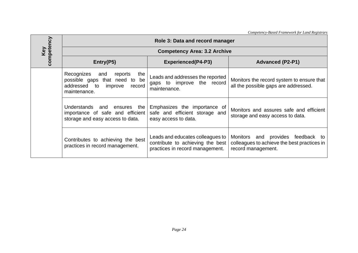|                   | Competency-Based Framework for Land Registrars                                                                                                                                                |                                                                                                         |                                                                                                           |  |  |
|-------------------|-----------------------------------------------------------------------------------------------------------------------------------------------------------------------------------------------|---------------------------------------------------------------------------------------------------------|-----------------------------------------------------------------------------------------------------------|--|--|
|                   | Role 3: Data and record manager                                                                                                                                                               |                                                                                                         |                                                                                                           |  |  |
|                   |                                                                                                                                                                                               | <b>Competency Area: 3.2 Archive</b>                                                                     |                                                                                                           |  |  |
| Key<br>competency | Entry(P5)                                                                                                                                                                                     | <b>Experienced(P4-P3)</b>                                                                               | <b>Advanced (P2-P1)</b>                                                                                   |  |  |
|                   | Recognizes<br>and<br>reports<br>the<br>possible gaps that need to be<br>addressed to<br>record<br>improve<br>maintenance.                                                                     | Leads and addresses the reported<br>gaps to improve the record<br>maintenance.                          | Monitors the record system to ensure that<br>all the possible gaps are addressed.                         |  |  |
|                   | Understands and ensures the<br>Emphasizes the importance of<br>safe and efficient storage and<br>importance of safe and efficient<br>storage and easy access to data.<br>easy access to data. |                                                                                                         | Monitors and assures safe and efficient<br>storage and easy access to data.                               |  |  |
|                   | Contributes to achieving the best<br>practices in record management.                                                                                                                          | Leads and educates colleagues to<br>contribute to achieving the best<br>practices in record management. | and provides feedback to<br>Monitors<br>colleagues to achieve the best practices in<br>record management. |  |  |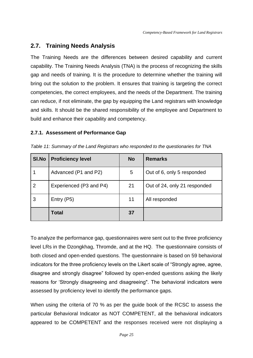# **2.7. Training Needs Analysis**

The Training Needs are the differences between desired capability and current capability. The Training Needs Analysis (TNA) is the process of recognizing the skills gap and needs of training. It is the procedure to determine whether the training will bring out the solution to the problem. It ensures that training is targeting the correct competencies, the correct employees, and the needs of the Department. The training can reduce, if not eliminate, the gap by equipping the Land registrars with knowledge and skills. It should be the shared responsibility of the employee and Department to build and enhance their capability and competency.

### **2.7.1. Assessment of Performance Gap**

| SI.No          | <b>Proficiency level</b> | <b>No</b> | <b>Remarks</b>               |
|----------------|--------------------------|-----------|------------------------------|
|                | Advanced (P1 and P2)     | 5         | Out of 6, only 5 responded   |
| $\overline{2}$ | Experienced (P3 and P4)  | 21        | Out of 24, only 21 responded |
| 3              | Entry (P5)               | 11        | All responded                |
|                | <b>Total</b>             | 37        |                              |

*Table 11: Summary of the Land Registrars who responded to the questionaries for TNA*

To analyze the performance gap, questionnaires were sent out to the three proficiency level LRs in the Dzongkhag, Thromde, and at the HQ. The questionnaire consists of both closed and open-ended questions. The questionnaire is based on 59 behavioral indicators for the three proficiency levels on the Likert scale of "Strongly agree, agree, disagree and strongly disagree" followed by open-ended questions asking the likely reasons for 'Strongly disagreeing and disagreeing". The behavioral indicators were assessed by proficiency level to identify the performance gaps.

When using the criteria of 70 % as per the guide book of the RCSC to assess the particular Behavioral Indicator as NOT COMPETENT, all the behavioral indicators appeared to be COMPETENT and the responses received were not displaying a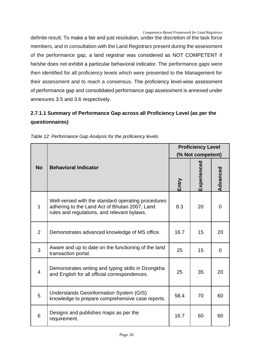definite result. To make a fair and just resolution, under the discretion of the task force members, and in consultation with the Land Registrars present during the assessment of the performance gap, a land registrar was considered as NOT COMPETENT if he/she does not exhibit a particular behavioral indicator. The performance gaps were then identified for all proficiency levels which were presented to the Management for their assessment and to reach a consensus. The proficiency level-wise assessment of performance gap and consolidated performance gap assessment is annexed under annexures 3.5 and 3.6 respectively.

# **2.7.1.1 Summary of Performance Gap across all Proficiency Level (as per the questionnaires)**

|                |                                                                                                                                                    |       | <b>Proficiency Level</b><br>(% Not competent) |          |  |
|----------------|----------------------------------------------------------------------------------------------------------------------------------------------------|-------|-----------------------------------------------|----------|--|
| <b>No</b>      | <b>Behavioral Indicator</b>                                                                                                                        | Entry | Experienced                                   | Advanced |  |
| 1              | Well-versed with the standard operating procedures<br>adhering to the Land Act of Bhutan 2007, Land<br>rules and regulations, and relevant bylaws. | 8.3   | 20                                            | 0        |  |
| $\overline{2}$ | Demonstrates advanced knowledge of MS office.                                                                                                      | 16.7  | 15                                            | 20       |  |
| 3              | Aware and up to date on the functioning of the land<br>transaction portal.                                                                         | 25    | 15                                            | $\Omega$ |  |
| $\overline{4}$ | Demonstrates writing and typing skills in Dzongkha<br>and English for all official correspondences.                                                | 25    | 35                                            | 20       |  |
| 5              | Understands Geoinformation System (GIS)<br>knowledge to prepare comprehensive case reports.                                                        | 58.4  | 70                                            | 60       |  |
| 6              | Designs and publishes maps as per the<br>requirement.                                                                                              | 16.7  | 60                                            | 60       |  |

*Table 12: Performance Gap Analysis for the proficiency levels*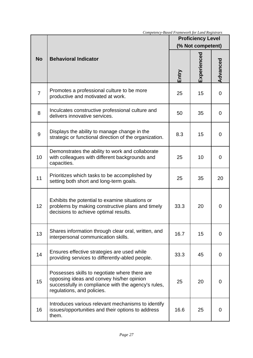|                 |                                                                                                                                                                                 |       | <b>Proficiency Level</b><br>(% Not competent) |                |
|-----------------|---------------------------------------------------------------------------------------------------------------------------------------------------------------------------------|-------|-----------------------------------------------|----------------|
| <b>No</b>       | <b>Behavioral Indicator</b>                                                                                                                                                     | Entry | Experienced                                   | Advanced       |
| $\overline{7}$  | Promotes a professional culture to be more<br>productive and motivated at work.                                                                                                 | 25    | 15                                            | $\overline{0}$ |
| 8               | Inculcates constructive professional culture and<br>delivers innovative services.                                                                                               | 50    | 35                                            | $\Omega$       |
| 9               | Displays the ability to manage change in the<br>strategic or functional direction of the organization.                                                                          | 8.3   | 15                                            | $\Omega$       |
| 10 <sup>1</sup> | Demonstrates the ability to work and collaborate<br>with colleagues with different backgrounds and<br>capacities.                                                               | 25    | 10                                            | $\Omega$       |
| 11              | Prioritizes which tasks to be accomplished by<br>setting both short and long-term goals.                                                                                        | 25    | 35                                            | 20             |
| 12              | Exhibits the potential to examine situations or<br>problems by making constructive plans and timely<br>decisions to achieve optimal results.                                    | 33.3  | 20                                            | 0              |
| 13              | Shares information through clear oral, written, and<br>interpersonal communication skills.                                                                                      | 16.7  | 15                                            | 0              |
| 14              | Ensures effective strategies are used while<br>providing services to differently-abled people.                                                                                  | 33.3  | 45                                            | 0              |
| 15              | Possesses skills to negotiate where there are<br>opposing ideas and convey his/her opinion<br>successfully in compliance with the agency's rules,<br>regulations, and policies. | 25    | 20                                            | $\Omega$       |
| 16              | Introduces various relevant mechanisms to identify<br>issues/opportunities and their options to address<br>them.                                                                | 16.6  | 25                                            | $\Omega$       |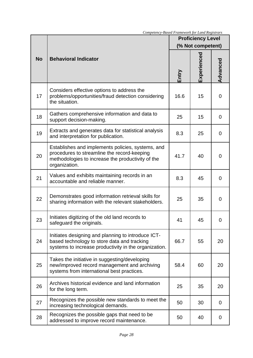|           |                                                                                                                                                                        |       | <b>Proficiency Level</b><br>(% Not competent) |                |  |
|-----------|------------------------------------------------------------------------------------------------------------------------------------------------------------------------|-------|-----------------------------------------------|----------------|--|
| <b>No</b> | <b>Behavioral Indicator</b>                                                                                                                                            | Entry | Experienced                                   | Advanced       |  |
| 17        | Considers effective options to address the<br>problems/opportunities/fraud detection considering<br>the situation.                                                     | 16.6  | 15                                            | $\overline{0}$ |  |
| 18        | Gathers comprehensive information and data to<br>support decision-making.                                                                                              | 25    | 15                                            | $\overline{0}$ |  |
| 19        | Extracts and generates data for statistical analysis<br>and interpretation for publication.                                                                            | 8.3   | 25                                            | $\overline{0}$ |  |
| 20        | Establishes and implements policies, systems, and<br>procedures to streamline the record-keeping<br>methodologies to increase the productivity of the<br>organization. | 41.7  | 40                                            | 0              |  |
| 21        | Values and exhibits maintaining records in an<br>accountable and reliable manner.                                                                                      | 8.3   | 45                                            | $\Omega$       |  |
| 22        | Demonstrates good information retrieval skills for<br>sharing information with the relevant stakeholders.                                                              | 25    | 35                                            | $\Omega$       |  |
| 23        | Initiates digitizing of the old land records to<br>safeguard the originals.                                                                                            | 41    | 45                                            | 0              |  |
| 24        | Initiates designing and planning to introduce ICT-<br>based technology to store data and tracking<br>systems to increase productivity in the organization.             | 66.7  | 55                                            | 20             |  |
| 25        | Takes the initiative in suggesting/developing<br>new/improved record management and archiving<br>systems from international best practices.                            | 58.4  | 60                                            | 20             |  |
| 26        | Archives historical evidence and land information<br>for the long term.                                                                                                | 25    | 35                                            | 20             |  |
| 27        | Recognizes the possible new standards to meet the<br>increasing technological demands.                                                                                 | 50    | 30                                            | $\overline{0}$ |  |
| 28        | Recognizes the possible gaps that need to be<br>addressed to improve record maintenance.                                                                               | 50    | 40                                            | 0              |  |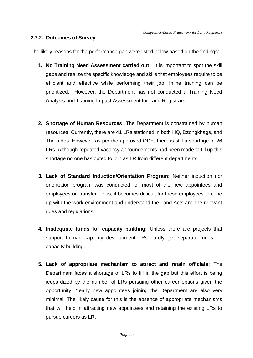#### **2.7.2. Outcomes of Survey**

The likely reasons for the performance gap were listed below based on the findings:

- **1. No Training Need Assessment carried out:** It is important to spot the skill gaps and realize the specific knowledge and skills that employees require to be efficient and effective while performing their job. Inline training can be prioritized. However, the Department has not conducted a Training Need Analysis and Training Impact Assessment for Land Registrars.
- **2. Shortage of Human Resources:** The Department is constrained by human resources. Currently, there are 41 LRs stationed in both HQ, Dzongkhags, and Thromdes. However, as per the approved ODE, there is still a shortage of 26 LRs. Although repeated vacancy announcements had been made to fill up this shortage no one has opted to join as LR from different departments.
- **3. Lack of Standard Induction/Orientation Program:** Neither induction nor orientation program was conducted for most of the new appointees and employees on transfer. Thus, it becomes difficult for these employees to cope up with the work environment and understand the Land Acts and the relevant rules and regulations.
- **4. Inadequate funds for capacity building:** Unless there are projects that support human capacity development LRs hardly get separate funds for capacity building.
- **5. Lack of appropriate mechanism to attract and retain officials:** The Department faces a shortage of LRs to fill in the gap but this effort is being jeopardized by the number of LRs pursuing other career options given the opportunity. Yearly new appointees joining the Department are also very minimal. The likely cause for this is the absence of appropriate mechanisms that will help in attracting new appointees and retaining the existing LRs to pursue careers as LR.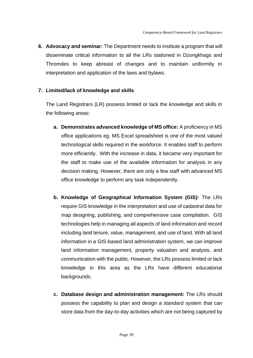**6. Advocacy and seminar:** The Department needs to institute a program that will disseminate critical information to all the LRs stationed in Dzongkhags and Thromdes to keep abreast of changes and to maintain uniformity in interpretation and application of the laws and bylaws.

### **7. Limited/lack of knowledge and skills**

The Land Registrars (LR) possess limited or lack the knowledge and skills in the following areas:

- **a. Demonstrates advanced knowledge of MS office:** A proficiency in MS office applications eg. MS Excel spreadsheet is one of the most valued technological skills required in the workforce. It enables staff to perform more efficiently. With the increase in data, it became very important for the staff to make use of the available information for analysis in any decision making. However, there are only a few staff with advanced MS office knowledge to perform any task independently.
- **b. Knowledge of Geographical Information System (GIS):** The LRs require GIS knowledge in the interpretation and use of cadastral data for map designing, publishing, and comprehensive case compilation. GIS technologies help in managing all aspects of land information and record including land tenure, value, management, and use of land. With all land information in a GIS-based land administration system, we can improve land information management, property valuation and analysis, and communication with the public. However, the LRs possess limited or lack knowledge in this area as the LRs have different educational backgrounds.
- **c. Database design and administration management:** The LRs should possess the capability to plan and design a standard system that can store data from the day-to-day activities which are not being captured by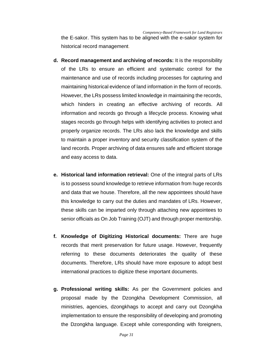the E-sakor. This system has to be aligned with the e-sakor system for historical record management.

- **d. Record management and archiving of records:** It is the responsibility of the LRs to ensure an efficient and systematic control for the maintenance and use of records including processes for capturing and maintaining historical evidence of land information in the form of records. However, the LRs possess limited knowledge in maintaining the records, which hinders in creating an effective archiving of records. All information and records go through a lifecycle process. Knowing what stages records go through helps with identifying activities to protect and properly organize records. The LRs also lack the knowledge and skills to maintain a proper inventory and security classification system of the land records. Proper archiving of data ensures safe and efficient storage and easy access to data.
- **e. Historical land information retrieval:** One of the integral parts of LRs is to possess sound knowledge to retrieve information from huge records and data that we house. Therefore, all the new appointees should have this knowledge to carry out the duties and mandates of LRs. However, these skills can be imparted only through attaching new appointees to senior officials as On Job Training (OJT) and through proper mentorship.
- **f. Knowledge of Digitizing Historical documents:** There are huge records that merit preservation for future usage. However, frequently referring to these documents deteriorates the quality of these documents. Therefore, LRs should have more exposure to adopt best international practices to digitize these important documents.
- **g. Professional writing skills:** As per the Government policies and proposal made by the Dzongkha Development Commission, all ministries, agencies, dzongkhags to accept and carry out Dzongkha implementation to ensure the responsibility of developing and promoting the Dzongkha language. Except while corresponding with foreigners,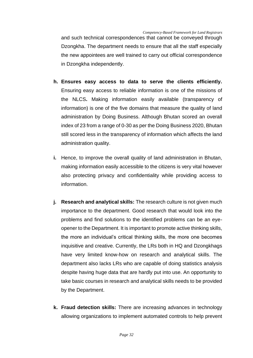and such technical correspondences that cannot be conveyed through Dzongkha. The department needs to ensure that all the staff especially the new appointees are well trained to carry out official correspondence in Dzongkha independently.

- **h. Ensures easy access to data to serve the clients efficiently.**  Ensuring easy access to reliable information is one of the missions of the NLCS**.** Making information easily available (transparency of information) is one of the five domains that measure the quality of land administration by Doing Business. Although Bhutan scored an overall index of 23 from a range of 0-30 as per the Doing Business 2020, Bhutan still scored less in the transparency of information which affects the land administration quality.
- **i.** Hence, to improve the overall quality of land administration in Bhutan, making information easily accessible to the citizens is very vital however also protecting privacy and confidentiality while providing access to information.
- **j. Research and analytical skills:** The research culture is not given much importance to the department. Good research that would look into the problems and find solutions to the identified problems can be an eyeopener to the Department. It is important to promote active thinking skills, the more an individual's critical thinking skills, the more one becomes inquisitive and creative. Currently, the LRs both in HQ and Dzongkhags have very limited know-how on research and analytical skills. The department also lacks LRs who are capable of doing statistics analysis despite having huge data that are hardly put into use. An opportunity to take basic courses in research and analytical skills needs to be provided by the Department.
- **k. Fraud detection skills:** There are increasing advances in technology allowing organizations to implement automated controls to help prevent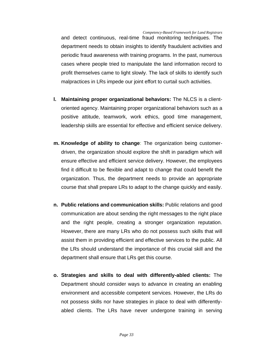and detect continuous, real-time fraud monitoring techniques. The department needs to obtain insights to identify fraudulent activities and periodic fraud awareness with training programs. In the past, numerous cases where people tried to manipulate the land information record to profit themselves came to light slowly. The lack of skills to identify such malpractices in LRs impede our joint effort to curtail such activities.

- **l. Maintaining proper organizational behaviors:** The NLCS is a clientoriented agency. Maintaining proper organizational behaviors such as a positive attitude, teamwork, work ethics, good time management, leadership skills are essential for effective and efficient service delivery.
- **m. Knowledge of ability to change**: The organization being customerdriven, the organization should explore the shift in paradigm which will ensure effective and efficient service delivery. However, the employees find it difficult to be flexible and adapt to change that could benefit the organization. Thus, the department needs to provide an appropriate course that shall prepare LRs to adapt to the change quickly and easily.
- **n. Public relations and communication skills:** Public relations and good communication are about sending the right messages to the right place and the right people, creating a stronger organization reputation. However, there are many LRs who do not possess such skills that will assist them in providing efficient and effective services to the public. All the LRs should understand the importance of this crucial skill and the department shall ensure that LRs get this course.
- **o. Strategies and skills to deal with differently-abled clients:** The Department should consider ways to advance in creating an enabling environment and accessible competent services. However, the LRs do not possess skills nor have strategies in place to deal with differentlyabled clients. The LRs have never undergone training in serving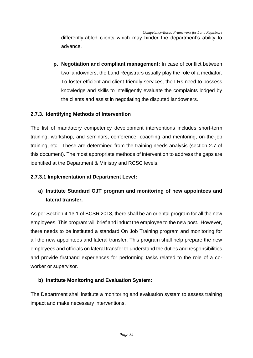differently-abled clients which may hinder the department's ability to advance.

**p. Negotiation and compliant management:** In case of conflict between two landowners, the Land Registrars usually play the role of a mediator. To foster efficient and client-friendly services, the LRs need to possess knowledge and skills to intelligently evaluate the complaints lodged by the clients and assist in negotiating the disputed landowners.

#### **2.7.3. Identifying Methods of Intervention**

The list of mandatory competency development interventions includes short-term training, workshop, and seminars, conference, coaching and mentoring, on-the-job training, etc. These are determined from the training needs analysis (section 2.7 of this document). The most appropriate methods of intervention to address the gaps are identified at the Department & Ministry and RCSC levels.

#### **2.7.3.1 Implementation at Department Level:**

# **a) Institute Standard OJT program and monitoring of new appointees and lateral transfer.**

As per Section 4.13.1 of BCSR 2018, there shall be an oriental program for all the new employees. This program will brief and induct the employee to the new post. However, there needs to be instituted a standard On Job Training program and monitoring for all the new appointees and lateral transfer. This program shall help prepare the new employees and officials on lateral transfer to understand the duties and responsibilities and provide firsthand experiences for performing tasks related to the role of a coworker or supervisor.

#### **b) Institute Monitoring and Evaluation System:**

The Department shall institute a monitoring and evaluation system to assess training impact and make necessary interventions.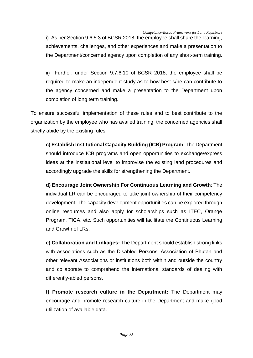i) As per Section 9.6.5.3 of BCSR 2018, the employee shall share the learning, achievements, challenges, and other experiences and make a presentation to the Department/concerned agency upon completion of any short-term training.

ii) Further, under Section 9.7.6.10 of BCSR 2018, the employee shall be required to make an independent study as to how best s/he can contribute to the agency concerned and make a presentation to the Department upon completion of long term training.

To ensure successful implementation of these rules and to best contribute to the organization by the employee who has availed training, the concerned agencies shall strictly abide by the existing rules.

**c) Establish Institutional Capacity Building (ICB) Program**: The Department should introduce ICB programs and open opportunities to exchange/express ideas at the institutional level to improvise the existing land procedures and accordingly upgrade the skills for strengthening the Department.

**d) Encourage Joint Ownership For Continuous Learning and Growth**: The individual LR can be encouraged to take joint ownership of their competency development. The capacity development opportunities can be explored through online resources and also apply for scholarships such as ITEC, Orange Program, TICA, etc. Such opportunities will facilitate the Continuous Learning and Growth of LRs.

**e) Collaboration and Linkages:** The Department should establish strong links with associations such as the Disabled Persons' Association of Bhutan and other relevant Associations or institutions both within and outside the country and collaborate to comprehend the international standards of dealing with differently-abled persons.

**f) Promote research culture in the Department:** The Department may encourage and promote research culture in the Department and make good utilization of available data.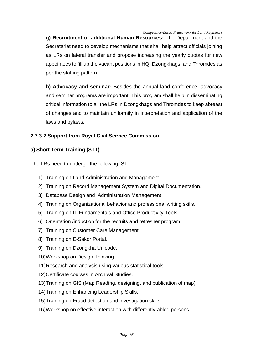**g) Recruitment of additional Human Resources:** The Department and the Secretariat need to develop mechanisms that shall help attract officials joining as LRs on lateral transfer and propose increasing the yearly quotas for new appointees to fill up the vacant positions in HQ, Dzongkhags, and Thromdes as per the staffing pattern.

**h) Advocacy and seminar:** Besides the annual land conference, advocacy and seminar programs are important. This program shall help in disseminating critical information to all the LRs in Dzongkhags and Thromdes to keep abreast of changes and to maintain uniformity in interpretation and application of the laws and bylaws.

## **2.7.3.2 Support from Royal Civil Service Commission**

## **a) Short Term Training (STT)**

The LRs need to undergo the following STT:

- 1) Training on Land Administration and Management.
- 2) Training on Record Management System and Digital Documentation.
- 3) Database Design and Administration Management.
- 4) Training on Organizational behavior and professional writing skills.
- 5) Training on IT Fundamentals and Office Productivity Tools.
- 6) Orientation /induction for the recruits and refresher program.
- 7) Training on Customer Care Management.
- 8) Training on E-Sakor Portal.
- 9) Training on Dzongkha Unicode.
- 10)Workshop on Design Thinking.
- 11)Research and analysis using various statistical tools.
- 12)Certificate courses in Archival Studies.
- 13)Training on GIS (Map Reading, designing, and publication of map).
- 14)Training on Enhancing Leadership Skills.
- 15)Training on Fraud detection and investigation skills.
- 16)Workshop on effective interaction with differently-abled persons.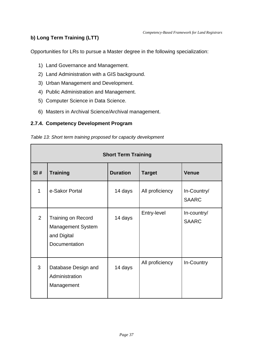## **b) Long Term Training (LTT)**

Opportunities for LRs to pursue a Master degree in the following specialization:

- 1) Land Governance and Management.
- 2) Land Administration with a GIS background.
- 3) Urban Management and Development.
- 4) Public Administration and Management.
- 5) Computer Science in Data Science.
- 6) Masters in Archival Science/Archival management.

### **2.7.4. Competency Development Program**

|  | Table 13: Short term training proposed for capacity development |  |
|--|-----------------------------------------------------------------|--|
|  |                                                                 |  |

| <b>Short Term Training</b> |                                                                                       |                 |                 |                             |  |
|----------------------------|---------------------------------------------------------------------------------------|-----------------|-----------------|-----------------------------|--|
| SI#                        | <b>Training</b>                                                                       | <b>Duration</b> | <b>Target</b>   | <b>Venue</b>                |  |
| 1                          | e-Sakor Portal                                                                        | 14 days         | All proficiency | In-Country/<br><b>SAARC</b> |  |
| $\overline{2}$             | <b>Training on Record</b><br><b>Management System</b><br>and Digital<br>Documentation | 14 days         | Entry-level     | In-country/<br><b>SAARC</b> |  |
| 3                          | Database Design and<br>Administration<br>Management                                   | 14 days         | All proficiency | In-Country                  |  |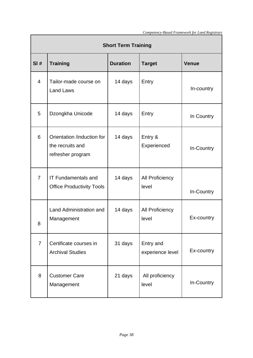| <b>Short Term Training</b> |                                                                     |                 |                                 |              |  |
|----------------------------|---------------------------------------------------------------------|-----------------|---------------------------------|--------------|--|
| SI#                        | <b>Training</b>                                                     | <b>Duration</b> | <b>Target</b>                   | <b>Venue</b> |  |
| $\overline{4}$             | Tailor-made course on<br>Land Laws                                  | 14 days         | Entry                           | In-country   |  |
| 5                          | Dzongkha Unicode                                                    | 14 days         | Entry                           | In Country   |  |
| 6                          | Orientation /induction for<br>the recruits and<br>refresher program | 14 days         | Entry &<br>Experienced          | In-Country   |  |
| $\overline{7}$             | <b>IT Fundamentals and</b><br><b>Office Productivity Tools</b>      | 14 days         | <b>All Proficiency</b><br>level | In-Country   |  |
| 8                          | Land Administration and<br>Management                               | 14 days         | <b>All Proficiency</b><br>level | Ex-country   |  |
| $\overline{7}$             | Certificate courses in<br><b>Archival Studies</b>                   | 31 days         | Entry and<br>experience level   | Ex-country   |  |
| 8                          | <b>Customer Care</b><br>Management                                  | 21 days         | All proficiency<br>level        | In-Country   |  |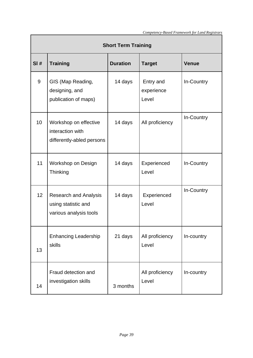| <b>Short Term Training</b> |                                                                               |                 |                                  |              |
|----------------------------|-------------------------------------------------------------------------------|-----------------|----------------------------------|--------------|
| SI#                        | <b>Training</b>                                                               | <b>Duration</b> | <b>Target</b>                    | <b>Venue</b> |
| 9                          | GIS (Map Reading,<br>designing, and<br>publication of maps)                   | 14 days         | Entry and<br>experience<br>Level | In-Country   |
| 10 <sup>1</sup>            | Workshop on effective<br>interaction with<br>differently-abled persons        | 14 days         | All proficiency                  | In-Country   |
| 11                         | Workshop on Design<br>Thinking                                                | 14 days         | Experienced<br>Level             | In-Country   |
| 12                         | <b>Research and Analysis</b><br>using statistic and<br>various analysis tools | 14 days         | Experienced<br>Level             | In-Country   |
| 13                         | <b>Enhancing Leadership</b><br>skills                                         | 21 days         | All proficiency<br>Level         | In-country   |
| 14                         | Fraud detection and<br>investigation skills                                   | 3 months        | All proficiency<br>Level         | In-country   |

r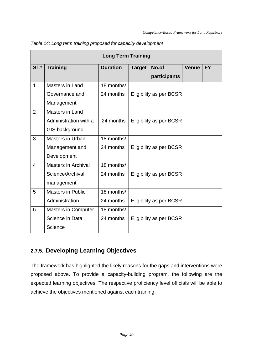| <b>Long Term Training</b> |                            |                 |                                |                                |              |           |
|---------------------------|----------------------------|-----------------|--------------------------------|--------------------------------|--------------|-----------|
| SI#                       | <b>Training</b>            | <b>Duration</b> | <b>Target</b>                  | No.of                          | <b>Venue</b> | <b>FY</b> |
|                           |                            |                 |                                | participants                   |              |           |
| $\mathbf{1}$              | Masters in Land            | 18 months/      |                                |                                |              |           |
|                           | Governance and             | 24 months       |                                | <b>Eligibility as per BCSR</b> |              |           |
|                           | Management                 |                 |                                |                                |              |           |
| $\overline{2}$            | Masters in Land            |                 |                                |                                |              |           |
|                           | Administration with a      | 24 months       |                                | <b>Eligibility as per BCSR</b> |              |           |
|                           | GIS background             |                 |                                |                                |              |           |
| 3                         | Masters in Urban           | 18 months/      |                                |                                |              |           |
|                           | Management and             | 24 months       | Eligibility as per BCSR        |                                |              |           |
|                           | Development                |                 |                                |                                |              |           |
| $\overline{4}$            | <b>Masters in Archival</b> | 18 months/      |                                |                                |              |           |
|                           | Science/Archival           | 24 months       |                                | Eligibility as per BCSR        |              |           |
|                           | management                 |                 |                                |                                |              |           |
| 5                         | <b>Masters in Public</b>   | 18 months/      |                                |                                |              |           |
|                           | Administration             | 24 months       | <b>Eligibility as per BCSR</b> |                                |              |           |
| 6                         | <b>Masters in Computer</b> | 18 months/      |                                |                                |              |           |
|                           | Science in Data            | 24 months       | Eligibility as per BCSR        |                                |              |           |
|                           | Science                    |                 |                                |                                |              |           |

*Table 14: Long term training proposed for capacity development*

# **2.7.5. Developing Learning Objectives**

The framework has highlighted the likely reasons for the gaps and interventions were proposed above. To provide a capacity-building program, the following are the expected learning objectives. The respective proficiency level officials will be able to achieve the objectives mentioned against each training.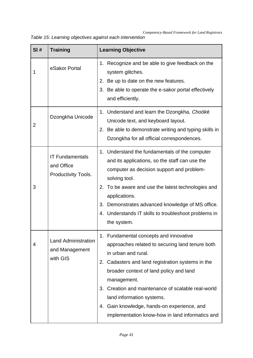*Table 15: Learning objectives against each intervention* 

| SI# | <b>Training</b>                                             | <b>Learning Objective</b>                                                                                                                                                                                                                                                                                                                                                                                                  |
|-----|-------------------------------------------------------------|----------------------------------------------------------------------------------------------------------------------------------------------------------------------------------------------------------------------------------------------------------------------------------------------------------------------------------------------------------------------------------------------------------------------------|
| 1   | eSakor Portal                                               | 1. Recognize and be able to give feedback on the<br>system glitches.<br>Be up to date on the new features.<br>2.<br>3. Be able to operate the e-sakor portal effectively<br>and efficiently.                                                                                                                                                                                                                               |
| 2   | Dzongkha Unicode                                            | Understand and learn the Dzongkha, Choöké<br>1.<br>Unicode text, and keyboard layout.<br>2. Be able to demonstrate writing and typing skills in<br>Dzongkha for all official correspondences.                                                                                                                                                                                                                              |
| 3   | <b>IT Fundamentals</b><br>and Office<br>Productivity Tools. | 1. Understand the fundamentals of the computer<br>and its applications, so the staff can use the<br>computer as decision support and problem-<br>solving tool.<br>2.<br>To be aware and use the latest technologies and<br>applications.<br>Demonstrates advanced knowledge of MS office.<br>3.<br>4. Understands IT skills to troubleshoot problems in<br>the system.                                                     |
| 4   | <b>Land Administration</b><br>and Management<br>with GIS    | 1. Fundamental concepts and innovative<br>approaches related to securing land tenure both<br>in urban and rural.<br>Cadasters and land registration systems in the<br>2.<br>broader context of land policy and land<br>management.<br>Creation and maintenance of scalable real-world<br>3.<br>land information systems.<br>4. Gain knowledge, hands-on experience, and<br>implementation know-how in land informatics and |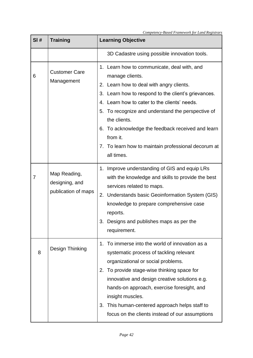| SI# | <b>Training</b>                                       | <b>Learning Objective</b>                                                                                                                                                                                                                                                                                                                                                                                                       |  |
|-----|-------------------------------------------------------|---------------------------------------------------------------------------------------------------------------------------------------------------------------------------------------------------------------------------------------------------------------------------------------------------------------------------------------------------------------------------------------------------------------------------------|--|
|     |                                                       | 3D Cadastre using possible innovation tools.                                                                                                                                                                                                                                                                                                                                                                                    |  |
| 6   | <b>Customer Care</b><br>Management                    | 1. Learn how to communicate, deal with, and<br>manage clients.<br>Learn how to deal with angry clients.<br>2.<br>3. Learn how to respond to the client's grievances.<br>4. Learn how to cater to the clients' needs.<br>5. To recognize and understand the perspective of<br>the clients.<br>6. To acknowledge the feedback received and learn<br>from it.<br>7. To learn how to maintain professional decorum at<br>all times. |  |
| 7   | Map Reading,<br>designing, and<br>publication of maps | 1. Improve understanding of GIS and equip LRs<br>with the knowledge and skills to provide the best<br>services related to maps.<br>2.<br>Understands basic Geoinformation System (GIS)<br>knowledge to prepare comprehensive case<br>reports.<br>Designs and publishes maps as per the<br>3.<br>requirement.                                                                                                                    |  |
| 8   | Design Thinking                                       | To immerse into the world of innovation as a<br>$1_{-}$<br>systematic process of tackling relevant<br>organizational or social problems.<br>To provide stage-wise thinking space for<br>2.<br>innovative and design creative solutions e.g.<br>hands-on approach, exercise foresight, and<br>insight muscles.<br>This human-centered approach helps staff to<br>3.<br>focus on the clients instead of our assumptions           |  |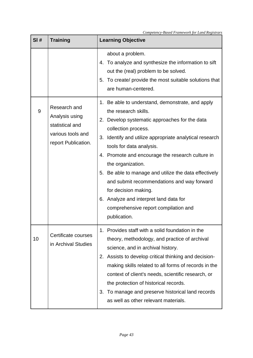| SI# | <b>Training</b>                                                                               | <b>Learning Objective</b>                                                                                                                                                                                                                                                                                                                                                                                                                                                                                                                               |
|-----|-----------------------------------------------------------------------------------------------|---------------------------------------------------------------------------------------------------------------------------------------------------------------------------------------------------------------------------------------------------------------------------------------------------------------------------------------------------------------------------------------------------------------------------------------------------------------------------------------------------------------------------------------------------------|
|     |                                                                                               | about a problem.<br>4. To analyze and synthesize the information to sift<br>out the (real) problem to be solved.<br>5. To create/ provide the most suitable solutions that<br>are human-centered.                                                                                                                                                                                                                                                                                                                                                       |
| 9   | Research and<br>Analysis using<br>statistical and<br>various tools and<br>report Publication. | 1. Be able to understand, demonstrate, and apply<br>the research skills.<br>Develop systematic approaches for the data<br>2.<br>collection process.<br>Identify and utilize appropriate analytical research<br>3.<br>tools for data analysis.<br>4. Promote and encourage the research culture in<br>the organization.<br>5. Be able to manage and utilize the data effectively<br>and submit recommendations and way forward<br>for decision making.<br>6. Analyze and interpret land data for<br>comprehensive report compilation and<br>publication. |
| 10  | Certificate courses<br>in Archival Studies                                                    | Provides staff with a solid foundation in the<br>1.<br>theory, methodology, and practice of archival<br>science, and in archival history.<br>2. Assists to develop critical thinking and decision-<br>making skills related to all forms of records in the<br>context of client's needs, scientific research, or<br>the protection of historical records.<br>3. To manage and preserve historical land records<br>as well as other relevant materials.                                                                                                  |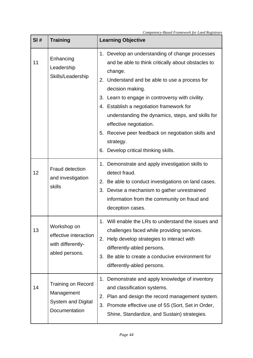| SI# | <b>Training</b>                                                                | <b>Learning Objective</b>                                                                                                                                                                                                                                                                                                                                                                                                                                                        |
|-----|--------------------------------------------------------------------------------|----------------------------------------------------------------------------------------------------------------------------------------------------------------------------------------------------------------------------------------------------------------------------------------------------------------------------------------------------------------------------------------------------------------------------------------------------------------------------------|
| 11  | Enhancing<br>Leadership<br>Skills/Leadership                                   | 1. Develop an understanding of change processes<br>and be able to think critically about obstacles to<br>change.<br>2. Understand and be able to use a process for<br>decision making.<br>3. Learn to engage in controversy with civility.<br>4. Establish a negotiation framework for<br>understanding the dynamics, steps, and skills for<br>effective negotiation.<br>5. Receive peer feedback on negotiation skills and<br>strategy.<br>6. Develop critical thinking skills. |
| 12  | <b>Fraud detection</b><br>and investigation<br>skills                          | 1. Demonstrate and apply investigation skills to<br>detect fraud.<br>2. Be able to conduct investigations on land cases.<br>Devise a mechanism to gather unrestrained<br>3.<br>information from the community on fraud and<br>deception cases.                                                                                                                                                                                                                                   |
| 13  | Workshop on<br>effective interaction<br>with differently-<br>abled persons.    | 1. Will enable the LRs to understand the issues and<br>challenges faced while providing services.<br>Help develop strategies to interact with<br>2.<br>differently-abled persons.<br>Be able to create a conducive environment for<br>3.<br>differently-abled persons.                                                                                                                                                                                                           |
| 14  | Training on Record<br>Management<br><b>System and Digital</b><br>Documentation | Demonstrate and apply knowledge of inventory<br>1.<br>and classification systems.<br>Plan and design the record management system.<br>2.<br>Promote effective use of 5S (Sort, Set in Order,<br>3.<br>Shine, Standardize, and Sustain) strategies.                                                                                                                                                                                                                               |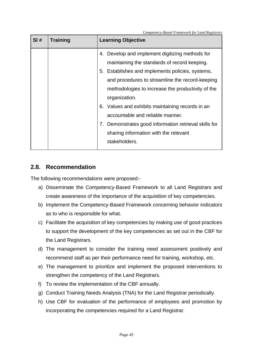| SI# | <b>Training</b> | <b>Learning Objective</b>                                                                                                                                                                              |
|-----|-----------------|--------------------------------------------------------------------------------------------------------------------------------------------------------------------------------------------------------|
|     |                 | 4. Develop and implement digitizing methods for<br>maintaining the standards of record keeping.<br>5. Establishes and implements policies, systems,<br>and procedures to streamline the record-keeping |
|     |                 | methodologies to increase the productivity of the<br>organization.                                                                                                                                     |
|     |                 | 6. Values and exhibits maintaining records in an<br>accountable and reliable manner.<br>7. Demonstrates good information retrieval skills for                                                          |
|     |                 | sharing information with the relevant<br>stakeholders.                                                                                                                                                 |

## **2.8. Recommendation**

The following recommendations were proposed:-

- a) Disseminate the Competency-Based Framework to all Land Registrars and create awareness of the importance of the acquisition of key competencies.
- b) Implement the Competency-Based Framework concerning behavior indicators as to who is responsible for what.
- c) Facilitate the acquisition of key competencies by making use of good practices to support the development of the key competencies as set out in the CBF for the Land Registrars.
- d) The management to consider the training need assessment positively and recommend staff as per their performance need for training, workshop, etc.
- e) The management to prioritize and implement the proposed interventions to strengthen the competency of the Land Registrars.
- f) To review the implementation of the CBF annually.
- g) Conduct Training Needs Analysis (TNA) for the Land Registrar periodically.
- h) Use CBF for evaluation of the performance of employees and promotion by incorporating the competencies required for a Land Registrar.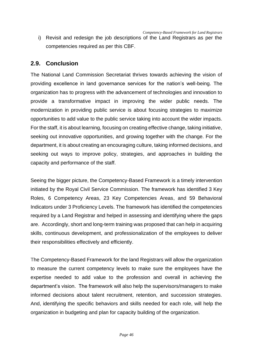i) Revisit and redesign the job descriptions of the Land Registrars as per the competencies required as per this CBF.

## **2.9. Conclusion**

The National Land Commission Secretariat thrives towards achieving the vision of providing excellence in land governance services for the nation's well-being. The organization has to progress with the advancement of technologies and innovation to provide a transformative impact in improving the wider public needs. The modernization in providing public service is about focusing strategies to maximize opportunities to add value to the public service taking into account the wider impacts. For the staff, it is about learning, focusing on creating effective change, taking initiative, seeking out innovative opportunities, and growing together with the change. For the department, it is about creating an encouraging culture, taking informed decisions, and seeking out ways to improve policy, strategies, and approaches in building the capacity and performance of the staff.

Seeing the bigger picture, the Competency-Based Framework is a timely intervention initiated by the Royal Civil Service Commission. The framework has identified 3 Key Roles, 6 Competency Areas, 23 Key Competencies Areas, and 59 Behavioral Indicators under 3 Proficiency Levels. The framework has identified the competencies required by a Land Registrar and helped in assessing and identifying where the gaps are. Accordingly, short and long-term training was proposed that can help in acquiring skills, continuous development, and professionalization of the employees to deliver their responsibilities effectively and efficiently.

The Competency-Based Framework for the land Registrars will allow the organization to measure the current competency levels to make sure the employees have the expertise needed to add value to the profession and overall in achieving the department's vision. The framework will also help the supervisors/managers to make informed decisions about talent recruitment, retention, and succession strategies. And, identifying the specific behaviors and skills needed for each role, will help the organization in budgeting and plan for capacity building of the organization.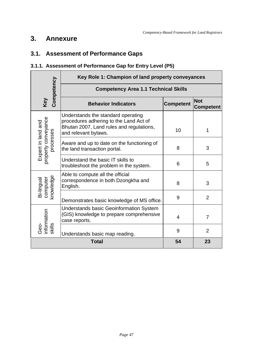# **3. Annexure**

# **3.1. Assessment of Performance Gaps**

## **3.1.1. Assessment of Performance Gap for Entry Level (P5)**

|                                     | Key Role 1: Champion of land property conveyances                                                                                                |                  |                                |  |  |
|-------------------------------------|--------------------------------------------------------------------------------------------------------------------------------------------------|------------------|--------------------------------|--|--|
| Competency                          | <b>Competency Area 1.1 Technical Skills</b>                                                                                                      |                  |                                |  |  |
| Key                                 | <b>Behavior Indicators</b>                                                                                                                       | <b>Competent</b> | <b>Not</b><br><b>Competent</b> |  |  |
| property conveyance                 | Understands the standard operating<br>procedures adhering to the Land Act of<br>Bhutan 2007, Land rules and regulations,<br>and relevant bylaws. | 10               | 1                              |  |  |
| Expert in land and<br>processes     | Aware and up to date on the functioning of<br>the land transaction portal.                                                                       | 8                | 3                              |  |  |
|                                     | Understand the basic IT skills to<br>troubleshoot the problem in the system.                                                                     | 6                | 5                              |  |  |
| knowledge<br>computer<br>Bi-lingual | Able to compute all the official<br>correspondence in both Dzongkha and<br>English.                                                              | 8                | 3                              |  |  |
|                                     | Demonstrates basic knowledge of MS office.                                                                                                       | 9                | $\overline{2}$                 |  |  |
| information                         | <b>Understands basic Geoinformation System</b><br>(GIS) knowledge to prepare comprehensive<br>case reports.                                      | 4                | $\overline{7}$                 |  |  |
| deo-                                | Understands basic map reading.                                                                                                                   | 9                | $\overline{2}$                 |  |  |
|                                     | 54<br><b>Total</b><br>23                                                                                                                         |                  |                                |  |  |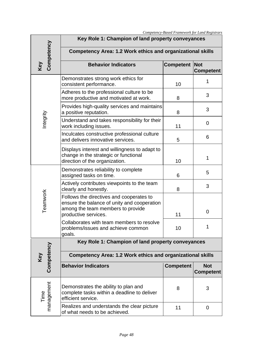|                    |                                                                                                                                                      |                  | Competency-Based Framework for Land Registrars |  |  |  |
|--------------------|------------------------------------------------------------------------------------------------------------------------------------------------------|------------------|------------------------------------------------|--|--|--|
|                    | Key Role 1: Champion of land property conveyances                                                                                                    |                  |                                                |  |  |  |
| Competency         | <b>Competency Area: 1.2 Work ethics and organizational skills</b>                                                                                    |                  |                                                |  |  |  |
| Key                | <b>Behavior Indicators</b>                                                                                                                           | <b>Competent</b> | Not<br><b>Competent</b>                        |  |  |  |
|                    | Demonstrates strong work ethics for<br>consistent performance.                                                                                       | 10               | 1                                              |  |  |  |
|                    | Adheres to the professional culture to be<br>more productive and motivated at work.                                                                  | 8                | 3                                              |  |  |  |
|                    | Provides high-quality services and maintains<br>a positive reputation.                                                                               | 8                | 3                                              |  |  |  |
| Integrity          | Understand and takes responsibility for their<br>work including issues.                                                                              | 11               | 0                                              |  |  |  |
|                    | Inculcates constructive professional culture<br>and delivers innovative services.                                                                    | 5                | 6                                              |  |  |  |
|                    | Displays interest and willingness to adapt to<br>change in the strategic or functional<br>direction of the organization.                             | 10               | 1                                              |  |  |  |
|                    | Demonstrates reliability to complete<br>assigned tasks on time.                                                                                      | 6                | 5                                              |  |  |  |
|                    | Actively contributes viewpoints to the team<br>clearly and honestly.                                                                                 | 8                | 3                                              |  |  |  |
| Teamwork           | Follows the directives and cooperates to<br>ensure the balance of unity and cooperation<br>among the team members to provide<br>productive services. | 11               | 0                                              |  |  |  |
|                    | Collaborates with team members to resolve<br>problems/issues and achieve common<br>goals.                                                            | 10               | 1                                              |  |  |  |
|                    | Key Role 1: Champion of land property conveyances                                                                                                    |                  |                                                |  |  |  |
| Competency<br>Key  | <b>Competency Area: 1.2 Work ethics and organizational skills</b>                                                                                    |                  |                                                |  |  |  |
|                    | <b>Behavior Indicators</b>                                                                                                                           | <b>Competent</b> | <b>Not</b><br><b>Competent</b>                 |  |  |  |
| management<br>Time | Demonstrates the ability to plan and<br>complete tasks within a deadline to deliver<br>efficient service.                                            | 8                | 3                                              |  |  |  |
|                    | Realizes and understands the clear picture<br>of what needs to be achieved.                                                                          | 11               | 0                                              |  |  |  |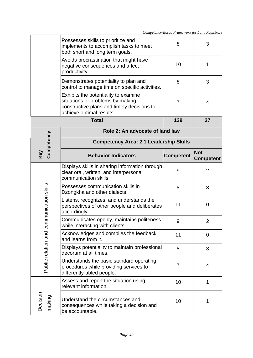|                                 |                                                                                                                                                    |                  | Competency-Basea ғ rameworк for Lana Kegistrars |  |
|---------------------------------|----------------------------------------------------------------------------------------------------------------------------------------------------|------------------|-------------------------------------------------|--|
|                                 | Possesses skills to prioritize and<br>implements to accomplish tasks to meet<br>both short and long term goals.                                    | 8                | 3                                               |  |
|                                 | Avoids procrastination that might have<br>negative consequences and affect<br>productivity.                                                        | 10               | 1                                               |  |
|                                 | Demonstrates potentiality to plan and<br>control to manage time on specific activities.                                                            | 8                | 3                                               |  |
|                                 | Exhibits the potentiality to examine<br>situations or problems by making<br>constructive plans and timely decisions to<br>achieve optimal results. | 7                | 4                                               |  |
|                                 | <b>Total</b>                                                                                                                                       | 139              | 37                                              |  |
| Role 2: An advocate of land law |                                                                                                                                                    |                  |                                                 |  |
| Competency                      | <b>Competency Area: 2.1 Leadership Skills</b>                                                                                                      |                  |                                                 |  |
| Key                             | <b>Behavior Indicators</b>                                                                                                                         | <b>Competent</b> | <b>Not</b><br><b>Competent</b>                  |  |
|                                 | Displays skills in sharing information through<br>clear oral, written, and interpersonal<br>communication skills.                                  | 9                | $\overline{2}$                                  |  |
|                                 | Possesses communication skills in<br>Dzongkha and other dialects.                                                                                  | 8                | 3                                               |  |
| mmunication skills              | Listens, recognizes, and understands the<br>perspectives of other people and deliberates<br>accordingly.                                           | 11               | $\mathbf 0$                                     |  |
|                                 | Communicates openly, maintains politeness<br>while interacting with clients.                                                                       | 9                | $\overline{2}$                                  |  |
| Public relation and cor         | Acknowledges and compiles the feedback<br>and learns from it.                                                                                      | 11               | $\overline{0}$                                  |  |
|                                 | Displays potentiality to maintain professional<br>decorum at all times.                                                                            | 8                | 3                                               |  |
|                                 | Understands the basic standard operating<br>procedures while providing services to<br>differently-abled people.                                    | 7                | 4                                               |  |
|                                 | Assess and report the situation using<br>relevant information.                                                                                     | 10               | 1                                               |  |
| Decision<br>making              | Understand the circumstances and<br>consequences while taking a decision and<br>be accountable.                                                    | 10               | 1                                               |  |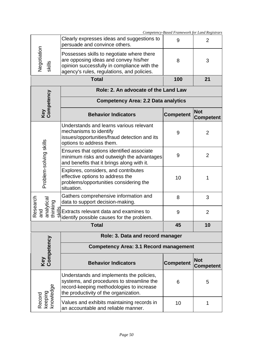|                                                     |                                                                                                                                                                                 | Competency-Based Framework for Land Registrars |                                |
|-----------------------------------------------------|---------------------------------------------------------------------------------------------------------------------------------------------------------------------------------|------------------------------------------------|--------------------------------|
| Negotiation<br>skills                               | Clearly expresses ideas and suggestions to<br>persuade and convince others.                                                                                                     | 9                                              | $\overline{2}$                 |
|                                                     | Possesses skills to negotiate where there<br>are opposing ideas and convey his/her<br>opinion successfully in compliance with the<br>agency's rules, regulations, and policies. | 8                                              | 3                              |
| <b>Total</b>                                        |                                                                                                                                                                                 | 100                                            | 21                             |
|                                                     | Role: 2. An advocate of the Land Law                                                                                                                                            |                                                |                                |
|                                                     | <b>Competency Area: 2.2 Data analytics</b>                                                                                                                                      |                                                |                                |
| Key<br>Competency                                   | <b>Behavior Indicators</b>                                                                                                                                                      | <b>Competent</b>                               | <b>Not</b><br><b>Competent</b> |
| Problem-solving skills                              | Understands and learns various relevant<br>mechanisms to identify<br>issues/opportunities/fraud detection and its<br>options to address them.                                   | 9                                              | $\overline{2}$                 |
|                                                     | Ensures that options identified associate<br>minimum risks and outweigh the advantages<br>and benefits that it brings along with it.                                            | 9                                              | $\overline{2}$                 |
|                                                     | Explores, considers, and contributes<br>effective options to address the<br>problems/opportunities considering the<br>situation.                                                | 10                                             |                                |
| Research<br>and<br>analytical<br>thinking<br>skills | Gathers comprehensive information and<br>data to support decision-making.                                                                                                       | 8                                              | 3                              |
|                                                     | Extracts relevant data and examines to<br>identify possible causes for the problem.                                                                                             | 9                                              | $\overline{2}$                 |
| 45<br><b>Total</b>                                  |                                                                                                                                                                                 | 10                                             |                                |
|                                                     | Role: 3. Data and record manager                                                                                                                                                |                                                |                                |
|                                                     | <b>Competency Area: 3.1 Record management</b>                                                                                                                                   |                                                |                                |
| Key<br>Competency                                   | <b>Behavior Indicators</b>                                                                                                                                                      | <b>Competent</b>                               | <b>Not</b><br><b>Competent</b> |
| keeping<br>knowledge<br>Record                      | Understands and implements the policies,<br>systems, and procedures to streamline the<br>record-keeping methodologies to increase<br>the productivity of the organization.      | 6                                              | 5                              |
|                                                     | Values and exhibits maintaining records in<br>an accountable and reliable manner.                                                                                               | 10                                             | 1                              |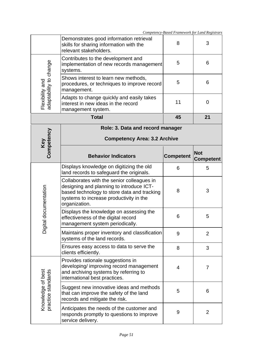|                                         |                                                                                                                                                                                                   | Competency-Based Framework for Land Registrars |                                |
|-----------------------------------------|---------------------------------------------------------------------------------------------------------------------------------------------------------------------------------------------------|------------------------------------------------|--------------------------------|
|                                         | Demonstrates good information retrieval<br>skills for sharing information with the<br>relevant stakeholders.                                                                                      | 8                                              | 3                              |
| adaptability to change                  | Contributes to the development and<br>implementation of new records management<br>systems.                                                                                                        | 5                                              | 6                              |
|                                         | Shows interest to learn new methods,<br>procedures, or techniques to improve record<br>management.                                                                                                | 5                                              | 6                              |
| Flexibility and                         | Adapts to change quickly and easily takes<br>interest in new ideas in the record<br>management system.                                                                                            | 11                                             | 0                              |
|                                         | <b>Total</b>                                                                                                                                                                                      | 45                                             | 21                             |
|                                         | Role: 3. Data and record manager                                                                                                                                                                  |                                                |                                |
|                                         | <b>Competency Area: 3.2 Archive</b>                                                                                                                                                               |                                                |                                |
| Key<br>Competency                       | <b>Behavior Indicators</b>                                                                                                                                                                        | <b>Competent</b>                               | <b>Not</b><br><b>Competent</b> |
|                                         | Displays knowledge on digitizing the old<br>land records to safeguard the originals.                                                                                                              | 6                                              | 5                              |
| documentation<br>Digital                | Collaborates with the senior colleagues in<br>designing and planning to introduce ICT-<br>based technology to store data and tracking<br>systems to increase productivity in the<br>organization. | 8                                              | 3                              |
|                                         | Displays the knowledge on assessing the<br>effectiveness of the digital record<br>management system periodically.                                                                                 | 6                                              | 5                              |
|                                         | Maintains proper inventory and classification<br>systems of the land records.                                                                                                                     | 9                                              | $\overline{2}$                 |
|                                         | Ensures easy access to data to serve the<br>clients efficiently.                                                                                                                                  | 8                                              | 3                              |
| Knowledge of best<br>practice standards | Provides rationale suggestions in<br>developing/improving record management<br>and archiving systems by referring to<br>international best practices.                                             | 4                                              | 7                              |
|                                         | Suggest new innovative ideas and methods<br>that can improve the safety of the land<br>records and mitigate the risk.                                                                             | 5                                              | 6                              |
|                                         | Anticipates the needs of the customer and<br>responds promptly to questions to improve<br>service delivery.                                                                                       | 9                                              | $\overline{2}$                 |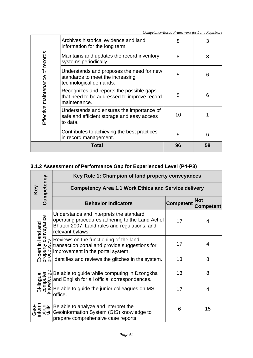|                                  | Contributes to achieving the best practices<br>in record management.<br>Total                           | 5<br>96 | 6<br>58 |
|----------------------------------|---------------------------------------------------------------------------------------------------------|---------|---------|
|                                  | Understands and ensures the importance of<br>safe and efficient storage and easy access<br>to data.     | 10      |         |
| Effective maintenance of records | Recognizes and reports the possible gaps<br>that need to be addressed to improve record<br>maintenance. | 5       | 6       |
|                                  | Understands and proposes the need for new<br>standards to meet the increasing<br>technological demands. | 5       | 6       |
|                                  | Maintains and updates the record inventory<br>systems periodically.                                     | 8       | 3       |
|                                  | Archives historical evidence and land<br>information for the long term.                                 | 8       |         |

# **3.1.2 Assessment of Performance Gap for Experienced Level (P4-P3)**

|                                                        | Key Role 1: Champion of land property conveyances                                                                                                                                                                                                                                            |                  |                                |  |
|--------------------------------------------------------|----------------------------------------------------------------------------------------------------------------------------------------------------------------------------------------------------------------------------------------------------------------------------------------------|------------------|--------------------------------|--|
| Competency<br>Key                                      | <b>Competency Area 1.1 Work Ethics and Service delivery</b>                                                                                                                                                                                                                                  |                  |                                |  |
|                                                        | <b>Behavior Indicators</b>                                                                                                                                                                                                                                                                   | <b>Competent</b> | <b>Not</b><br><b>Competent</b> |  |
| property conveyance<br>processes<br>Expert in land and | Understands and interprets the standard<br>operating procedures adhering to the Land Act of<br>Bhutan 2007, Land rules and regulations, and<br>relevant bylaws.                                                                                                                              | 17               | 4                              |  |
|                                                        | Reviews on the functioning of the land<br>transaction portal and provide suggestions for<br>improvement in the portal system.                                                                                                                                                                | 17               | 4                              |  |
|                                                        | Identifies and reviews the glitches in the system.                                                                                                                                                                                                                                           | 13               | 8                              |  |
| Bi-lingual                                             | be able to guide while computing in Dzongkha<br>and English for all official correspondences.<br>$\begin{array}{r} \n\overline{5} \\ \overline{5} \\ \overline{5} \\ \overline{5} \\ \overline{6} \\ \overline{7} \\ \overline{8}\n\end{array}$ Be able to guide the junior colleagues on MS | 13               | 8                              |  |
|                                                        | office.                                                                                                                                                                                                                                                                                      | 17               | 4                              |  |
| nform<br>ation<br>skills                               | Be able to analyze and interpret the<br>Geoinformation System (GIS) knowledge to<br>prepare comprehensive case reports.                                                                                                                                                                      | 6                | 15                             |  |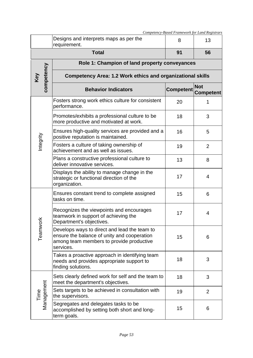|                    | Competency-Based Framework for Land Registrars                                                                                                       |                  |                                |  |
|--------------------|------------------------------------------------------------------------------------------------------------------------------------------------------|------------------|--------------------------------|--|
|                    | Designs and interprets maps as per the<br>requirement.                                                                                               | 8                | 13                             |  |
|                    | <b>Total</b>                                                                                                                                         | 91               | 56                             |  |
|                    | Role 1: Champion of land property conveyances                                                                                                        |                  |                                |  |
| competency         | <b>Competency Area: 1.2 Work ethics and organizational skills</b>                                                                                    |                  |                                |  |
|                    | <b>Behavior Indicators</b>                                                                                                                           | <b>Competent</b> | <b>Not</b><br><b>Competent</b> |  |
| Integrity          | Fosters strong work ethics culture for consistent<br>performance.                                                                                    | 20               |                                |  |
|                    | Promotes/exhibits a professional culture to be<br>more productive and motivated at work.                                                             | 18               | 3                              |  |
|                    | Ensures high-quality services are provided and a<br>positive reputation is maintained.                                                               | 16               | 5                              |  |
|                    | Fosters a culture of taking ownership of<br>achievement and as well as issues.                                                                       | 19               | $\overline{2}$                 |  |
|                    | Plans a constructive professional culture to<br>deliver innovative services.                                                                         | 13               | 8                              |  |
|                    | Displays the ability to manage change in the<br>strategic or functional direction of the<br>organization.                                            | 17               | 4                              |  |
| ⊻<br>Teamwor       | Ensures constant trend to complete assigned<br>tasks on time.                                                                                        | 15               | 6                              |  |
|                    | Recognizes the viewpoints and encourages<br>teamwork in support of achieving the<br>Department's objectives.                                         | 17               | 4                              |  |
|                    | Develops ways to direct and lead the team to<br>ensure the balance of unity and cooperation<br>among team members to provide productive<br>services. | 15               | 6                              |  |
|                    | Takes a proactive approach in identifying team<br>needs and provides appropriate support to<br>finding solutions.                                    | 18               | 3                              |  |
| Management<br>Time | Sets clearly defined work for self and the team to<br>meet the department's objectives.                                                              | 18               | 3                              |  |
|                    | Sets targets to be achieved in consultation with<br>the supervisors.                                                                                 | 19               | $\overline{2}$                 |  |
|                    | Segregates and delegates tasks to be<br>accomplished by setting both short and long-<br>term goals.                                                  | 15               | 6                              |  |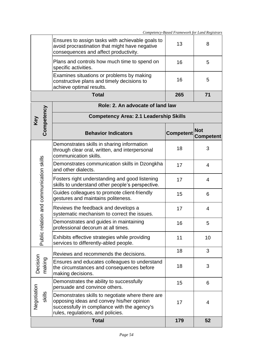|                                      | avoid procrastination that might have negative<br>consequences and affect productivity.                               | ں ا              | O                              |
|--------------------------------------|-----------------------------------------------------------------------------------------------------------------------|------------------|--------------------------------|
|                                      | Plans and controls how much time to spend on<br>specific activities.                                                  | 16               | 5                              |
|                                      | Examines situations or problems by making<br>constructive plans and timely decisions to<br>achieve optimal results.   | 16               | 5                              |
|                                      | <b>Total</b>                                                                                                          | 265              | 71                             |
|                                      | Role: 2. An advocate of land law                                                                                      |                  |                                |
|                                      | <b>Competency Area: 2.1 Leadership Skills</b>                                                                         |                  |                                |
| Competency                           | <b>Behavior Indicators</b>                                                                                            | <b>Competent</b> | <b>Not</b><br><b>Competent</b> |
|                                      | Demonstrates skills in sharing information<br>through clear oral, written, and interpersonal<br>communication skills. | 18               | 3                              |
|                                      | Demonstrates communication skills in Dzongkha<br>and other dialects.                                                  | 17               | $\overline{4}$                 |
|                                      | Fosters right understanding and good listening<br>skills to understand other people's perspective.                    | 17               | $\overline{4}$                 |
|                                      | Guides colleagues to promote client-friendly<br>gestures and maintains politeness.                                    | 15               | 6                              |
| ic relation and communication skills | Reviews the feedback and develops a<br>systematic mechanism to correct the issues.                                    | 17               | 4                              |
|                                      | Demonstrates and guides in maintaining<br>professional decorum at all times.                                          | 16               | 5                              |
| Publ                                 | Exhibits effective strategies while providing<br>services to differently-abled people.                                | 11               | 10                             |
|                                      | Reviews and recommends the decisions.                                                                                 | 18               | 3                              |
| making                               | Ensures and educates colleagues to understand<br>the circumstances and consequences before<br>making decisions.       | 18               | 3                              |
|                                      | Demonstrates the ability to successfully                                                                              |                  |                                |

Ensures to assign tasks with achievable goals to

**Key** 

*Competency-Based Framework for Land Registrars*

13 8

Negotiation Decision Negotiation skills Demonstrates the ability to successfully persuade and convince others. 15 6 Demonstrates skills to negotiate where there are opposing ideas and convey his/her opinion successfully in compliance with the agency's rules, regulations, and policies. 17 4 **Total 179 52**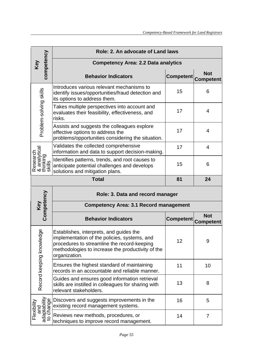|                                                 | Role: 2. An advocate of Land laws                                                                                                                                                                            |                  |                                |  |  |
|-------------------------------------------------|--------------------------------------------------------------------------------------------------------------------------------------------------------------------------------------------------------------|------------------|--------------------------------|--|--|
| competency                                      | <b>Competency Area: 2.2 Data analytics</b>                                                                                                                                                                   |                  |                                |  |  |
|                                                 | <b>Behavior Indicators</b>                                                                                                                                                                                   | <b>Competent</b> | <b>Not</b><br><b>Competent</b> |  |  |
|                                                 | Introduces various relevant mechanisms to<br>identify issues/opportunities/fraud detection and<br>its options to address them.                                                                               | 15               | 6                              |  |  |
| Problem-solving skills                          | Takes multiple perspectives into account and<br>evaluates their feasibility, effectiveness, and<br>risks.                                                                                                    | 17               | 4                              |  |  |
|                                                 | Assists and suggests the colleagues explore<br>effective options to address the<br>problems/opportunities considering the situation.                                                                         | 17               | 4                              |  |  |
|                                                 | Validates the collected comprehensive<br>information and data to support decision-making.                                                                                                                    | 17               | 4                              |  |  |
| Research<br>& analytical<br>thinking<br>skills  | Identifies patterns, trends, and root causes to<br>anticipate potential challenges and develops<br>solutions and mitigation plans.                                                                           | 15               | 6                              |  |  |
|                                                 | <b>Total</b>                                                                                                                                                                                                 | 81               | 24                             |  |  |
|                                                 | Role: 3. Data and record manager                                                                                                                                                                             |                  |                                |  |  |
| Key<br>Competency                               | <b>Competency Area: 3.1 Record management</b>                                                                                                                                                                |                  |                                |  |  |
|                                                 | <b>Behavior Indicators</b>                                                                                                                                                                                   | <b>Competent</b> | <b>Not</b><br><b>Competent</b> |  |  |
| Record keeping knowledge                        | Establishes, interprets, and guides the<br>implementation of the policies, systems, and<br>procedures to streamline the record-keeping<br>methodologies to increase the productivity of the<br>organization. | 12               | 9                              |  |  |
|                                                 | Ensures the highest standard of maintaining<br>records in an accountable and reliable manner.                                                                                                                | 11               | 10                             |  |  |
|                                                 | Guides and ensures good information retrieval<br>skills are instilled in colleagues for sharing with<br>relevant stakeholders.                                                                               | 13               | 8                              |  |  |
|                                                 | Discovers and suggests improvements in the<br>existing record management systems.                                                                                                                            | 16               | 5                              |  |  |
| and<br>adaptability<br>to change<br>Flexibility | Reviews new methods, procedures, or<br>techniques to improve record management.                                                                                                                              | 14               | 7                              |  |  |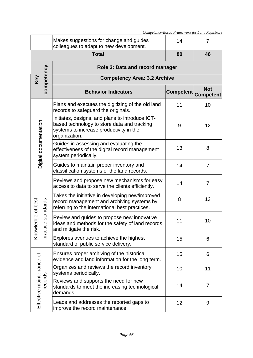|                                     |                                                                                                                                                            | Competency-Based Framework for Land Registrars |                                   |
|-------------------------------------|------------------------------------------------------------------------------------------------------------------------------------------------------------|------------------------------------------------|-----------------------------------|
|                                     | Makes suggestions for change and guides<br>colleagues to adapt to new development.                                                                         | 14                                             | 7                                 |
|                                     | <b>Total</b>                                                                                                                                               | 80                                             | 46                                |
|                                     | Role 3: Data and record manager                                                                                                                            |                                                |                                   |
| competency<br>Key                   | <b>Competency Area: 3.2 Archive</b>                                                                                                                        |                                                |                                   |
|                                     | <b>Behavior Indicators</b>                                                                                                                                 |                                                | <b>Not</b><br>Competent Competent |
|                                     | Plans and executes the digitizing of the old land<br>records to safeguard the originals.                                                                   | 11                                             | 10                                |
|                                     | Initiates, designs, and plans to introduce ICT-<br>based technology to store data and tracking<br>systems to increase productivity in the<br>organization. | 9                                              | 12                                |
| Digital documentation               | Guides in assessing and evaluating the<br>effectiveness of the digital record management<br>system periodically.                                           | 13                                             | 8                                 |
|                                     | Guides to maintain proper inventory and<br>classification systems of the land records.                                                                     | 14                                             | $\overline{7}$                    |
|                                     | Reviews and propose new mechanisms for easy<br>access to data to serve the clients efficiently.                                                            | 14                                             | $\overline{7}$                    |
| standards                           | Takes the initiative in developing new/improved<br>record management and archiving systems by<br>referring to the international best practices.            | 8                                              | 13                                |
| Knowledge of best<br>practice       | Review and guides to propose new innovative<br>ideas and methods for the safety of land records<br>and mitigate the risk.                                  | 11                                             | 10                                |
|                                     | Explores avenues to achieve the highest<br>standard of public service delivery.                                                                            | 15                                             | 6                                 |
|                                     | Ensures proper archiving of the historical<br>evidence and land information for the long term.                                                             | 15                                             | 6                                 |
|                                     | Organizes and reviews the record inventory<br>systems periodically.                                                                                        | 10                                             | 11                                |
| Effective maintenance of<br>records | Reviews and supports the need for new<br>standards to meet the increasing technological<br>demands.                                                        | 14                                             | 7                                 |
|                                     | Leads and addresses the reported gaps to<br>improve the record maintenance.                                                                                | 12                                             | 9                                 |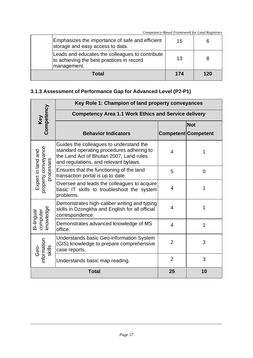|                                                                                                             |     | Competency-Based Framework for Land Registrars |
|-------------------------------------------------------------------------------------------------------------|-----|------------------------------------------------|
| Emphasizes the importance of safe and efficient<br>storage and easy access to data.                         | 15  |                                                |
| Leads and educates the colleagues to contribute<br>to achieving the best practices in record<br>management. | 13  |                                                |
| Total                                                                                                       | 174 | 120                                            |

### **3.1.3 Assessment of Performance Gap for Advanced Level (P2-P1)**

|                                           |                                                                                                                                                                          | Key Role 1: Champion of land property conveyances |                            |  |  |
|-------------------------------------------|--------------------------------------------------------------------------------------------------------------------------------------------------------------------------|---------------------------------------------------|----------------------------|--|--|
|                                           | <b>Competency Area 1.1 Work Ethics and Service delivery</b>                                                                                                              |                                                   |                            |  |  |
| Key<br>Competency                         |                                                                                                                                                                          |                                                   | <b>Not</b>                 |  |  |
|                                           | <b>Behavior Indicators</b>                                                                                                                                               |                                                   | <b>Competent Competent</b> |  |  |
| property conveyance<br>Expert in land and | Guides the colleagues to understand the<br>standard operating procedures adhering to<br>the Land Act of Bhutan 2007, Land rules<br>and regulations, and relevant bylaws. | $\overline{4}$                                    | 1                          |  |  |
| processes                                 | Ensures that the functioning of the land<br>transaction portal is up to date.                                                                                            | 5                                                 | 0                          |  |  |
|                                           | Oversee and leads the colleagues to acquire<br>basic IT skills to troubleshoot the system<br>problems.                                                                   | $\overline{4}$                                    | 1                          |  |  |
| computer<br>knowledge                     | Demonstrates high-caliber writing and typing<br>skills in Dzongkha and English for all official<br>correspondence.                                                       | $\overline{4}$                                    | 1                          |  |  |
| Bi-lingual                                | Demonstrates advanced knowledge of MS<br>office.                                                                                                                         | $\overline{4}$                                    | 1                          |  |  |
| nformation<br>skills<br>Geo-              | Understands basic Geo-information System<br>(GIS) knowledge to prepare comprehensive<br>case reports.                                                                    | $\overline{2}$                                    | 3                          |  |  |
|                                           | Understands basic map reading.                                                                                                                                           | $\overline{2}$                                    | 3                          |  |  |
|                                           | <b>Total</b>                                                                                                                                                             | 25                                                | 10                         |  |  |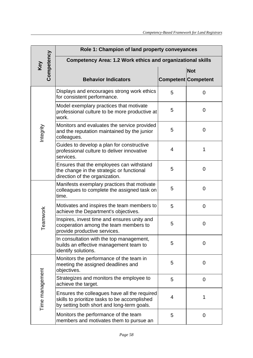|                   | Role 1: Champion of land property conveyances                                                                                               |   |                            |
|-------------------|---------------------------------------------------------------------------------------------------------------------------------------------|---|----------------------------|
| Competency<br>Key | <b>Competency Area: 1.2 Work ethics and organizational skills</b>                                                                           |   |                            |
|                   |                                                                                                                                             |   | <b>Not</b>                 |
|                   | <b>Behavior Indicators</b>                                                                                                                  |   | <b>Competent Competent</b> |
|                   | Displays and encourages strong work ethics<br>for consistent performance.                                                                   | 5 | $\overline{0}$             |
|                   | Model exemplary practices that motivate<br>professional culture to be more productive at<br>work.                                           | 5 | 0                          |
| Integrity         | Monitors and evaluates the service provided<br>and the reputation maintained by the junior<br>colleagues.                                   | 5 | $\mathbf 0$                |
|                   | Guides to develop a plan for constructive<br>professional culture to deliver innovative<br>services.                                        | 4 | 1                          |
|                   | Ensures that the employees can withstand<br>the change in the strategic or functional<br>direction of the organization.                     | 5 | $\mathbf 0$                |
|                   | Manifests exemplary practices that motivate<br>colleagues to complete the assigned task on<br>time.                                         | 5 | $\overline{0}$             |
|                   | Motivates and inspires the team members to<br>achieve the Department's objectives.                                                          | 5 | $\mathbf 0$                |
| Teamwork          | Inspires, invest time and ensures unity and<br>cooperation among the team members to<br>provide productive services.                        | 5 | $\mathbf 0$                |
|                   | In consultation with the top management,<br>builds an effective management team to<br>identify solutions.                                   | 5 | 0                          |
|                   | Monitors the performance of the team in<br>meeting the assigned deadlines and<br>objectives.                                                | 5 | $\mathbf 0$                |
|                   | Strategizes and monitors the employee to<br>achieve the target.                                                                             | 5 | $\mathbf 0$                |
| Time management   | Ensures the colleagues have all the required<br>skills to prioritize tasks to be accomplished<br>by setting both short and long-term goals. | 4 | 1                          |
|                   | Monitors the performance of the team<br>members and motivates them to pursue an                                                             | 5 | $\mathbf 0$                |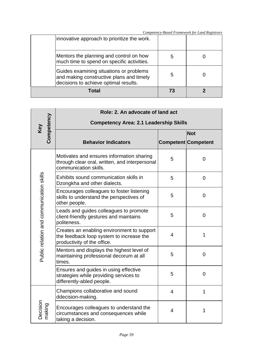|                                                                                                                              |   | Competency-Based Framework for Land Registrars |
|------------------------------------------------------------------------------------------------------------------------------|---|------------------------------------------------|
| innovative approach to prioritize the work.                                                                                  |   |                                                |
| Mentors the planning and control on how<br>much time to spend on specific activities.                                        | b |                                                |
| Guides examining situations or problems<br>and making constructive plans and timely<br>decisions to achieve optimal results. | 5 |                                                |
| Total                                                                                                                        |   |                                                |

|                                          | Role: 2. An advocate of land act                                                                                      |                          |                            |  |
|------------------------------------------|-----------------------------------------------------------------------------------------------------------------------|--------------------------|----------------------------|--|
| Competency                               | <b>Competency Area: 2.1 Leadership Skills</b>                                                                         |                          |                            |  |
| Key                                      |                                                                                                                       |                          | <b>Not</b>                 |  |
|                                          | <b>Behavior Indicators</b>                                                                                            |                          | <b>Competent Competent</b> |  |
|                                          | Motivates and ensures information sharing<br>through clear oral, written, and interpersonal<br>communication skills.  | 5                        | 0                          |  |
|                                          | Exhibits sound communication skills in<br>Dzongkha and other dialects.                                                | 5                        | $\mathbf 0$                |  |
| Public relation and communication skills | Encourages colleagues to foster listening<br>skills to understand the perspectives of<br>other people.                | 5                        | $\mathbf 0$                |  |
|                                          | Leads and guides colleagues to promote<br>client-friendly gestures and maintains<br>politeness.                       | 5                        | $\overline{0}$             |  |
|                                          | Creates an enabling environment to support<br>the feedback loop system to increase the<br>productivity of the office. | $\overline{\mathcal{L}}$ | 1                          |  |
|                                          | Mentors and displays the highest level of<br>maintaining professional decorum at all<br>times.                        | 5                        | $\mathbf 0$                |  |
|                                          | Ensures and guides in using effective<br>strategies while providing services to<br>differently-abled people.          | 5                        | $\overline{0}$             |  |
|                                          | Champions collaborative and sound<br>ddecision-making.                                                                | $\overline{4}$           | $\mathbf 1$                |  |
| Decision<br>making                       | Encourages colleagues to understand the<br>circumstances and consequences while<br>taking a decision.                 | 4                        | 1                          |  |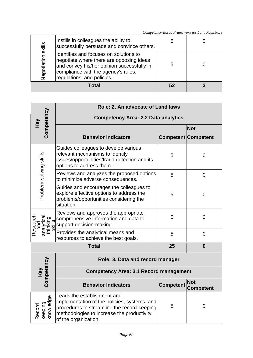|                    | Instills in colleagues the ability to<br>successfully persuade and convince others.                                                                                                                   | 5  |  |
|--------------------|-------------------------------------------------------------------------------------------------------------------------------------------------------------------------------------------------------|----|--|
| Negotiation skills | Identifies and focuses on solutions to<br>negotiate where there are opposing ideas<br>and convey his/her opinion successfully in<br>compliance with the agency's rules,<br>regulations, and policies. | 5  |  |
|                    | Total                                                                                                                                                                                                 | 52 |  |

|                                                          | Role: 2. An advocate of Land laws                                                                                                                                                                |                  |                                |  |
|----------------------------------------------------------|--------------------------------------------------------------------------------------------------------------------------------------------------------------------------------------------------|------------------|--------------------------------|--|
| Competency                                               | <b>Competency Area: 2.2 Data analytics</b>                                                                                                                                                       |                  |                                |  |
| <b>Key</b>                                               |                                                                                                                                                                                                  |                  | <b>Not</b>                     |  |
|                                                          | <b>Behavior Indicators</b>                                                                                                                                                                       |                  | <b>Competent Competent</b>     |  |
| Problem-solving skills                                   | Guides colleagues to develop various<br>relevant mechanisms to identify<br>issues/opportunities/fraud detection and its<br>options to address them.                                              | 5                | $\overline{0}$                 |  |
|                                                          | Reviews and analyzes the proposed options<br>to minimize adverse consequences.                                                                                                                   | 5                | $\overline{0}$                 |  |
|                                                          | Guides and encourages the colleagues to<br>explore effective options to address the<br>problems/opportunities considering the<br>situation.                                                      | 5                | $\overline{0}$                 |  |
| Research<br>analytical<br>thinking<br>thinking<br>skills | Reviews and approves the appropriate<br>comprehensive information and data to<br>support decision-making.                                                                                        | 5                | $\overline{0}$                 |  |
|                                                          | Provides the analytical means and<br>resources to achieve the best goals.                                                                                                                        | 5                | $\overline{0}$                 |  |
|                                                          | <b>Total</b>                                                                                                                                                                                     | 25               | $\bf{0}$                       |  |
|                                                          | Role: 3. Data and record manager                                                                                                                                                                 |                  |                                |  |
| Competency<br>Key                                        | <b>Competency Area: 3.1 Record management</b>                                                                                                                                                    |                  |                                |  |
|                                                          | <b>Behavior Indicators</b>                                                                                                                                                                       | <b>Competent</b> | <b>Not</b><br><b>Competent</b> |  |
| Record<br>keeping<br>knowledge                           | Leads the establishment and<br>implementation of the policies, systems, and<br>procedures to streamline the record-keeping<br>methodologies to increase the productivity<br>of the organization. | 5                | $\overline{0}$                 |  |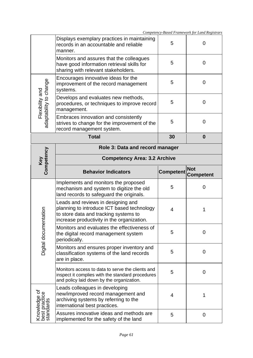|                                            | Displays exemplary practices in maintaining<br>records in an accountable and reliable<br>manner.                                                                        | 5                | 0                              |  |
|--------------------------------------------|-------------------------------------------------------------------------------------------------------------------------------------------------------------------------|------------------|--------------------------------|--|
|                                            | Monitors and assures that the colleagues<br>have good information retrieval skills for<br>sharing with relevant stakeholders.                                           | 5                | 0                              |  |
|                                            | Encourages innovative ideas for the<br>improvement of the record management<br>systems.                                                                                 | 5                | 0                              |  |
| Flexibility and<br>adaptability to change  | Develops and evaluates new methods,<br>procedures, or techniques to improve record<br>management.                                                                       | 5                | 0                              |  |
|                                            | Embraces innovation and consistently<br>strives to change for the improvement of the<br>record management system.                                                       | 5                | $\overline{0}$                 |  |
|                                            | <b>Total</b>                                                                                                                                                            | 30               | $\bf{0}$                       |  |
|                                            | Role 3: Data and record manager                                                                                                                                         |                  |                                |  |
|                                            | <b>Competency Area: 3.2 Archive</b>                                                                                                                                     |                  |                                |  |
| Key<br>Competency                          | <b>Behavior Indicators</b>                                                                                                                                              | <b>Competent</b> | <b>Not</b><br><b>Competent</b> |  |
|                                            |                                                                                                                                                                         |                  |                                |  |
|                                            | Implements and monitors the proposed<br>mechanism and system to digitize the old<br>land records to safeguard the originals.                                            | 5                | 0                              |  |
|                                            | Leads and reviews in designing and<br>planning to introduce ICT based technology<br>to store data and tracking systems to<br>increase productivity in the organization. | 4                | 1                              |  |
| entation                                   | Monitors and evaluates the effectiveness of<br>the digital record management system<br>periodically.                                                                    | 5                | 0                              |  |
| Digital docum                              | Monitors and ensures proper inventory and<br>classification systems of the land records<br>are in place.                                                                | 5                | 0                              |  |
|                                            | Monitors access to data to serve the clients and<br>inspect it complies with the standard procedures<br>and policy laid down by the organization.                       | 5                | $\mathbf 0$                    |  |
| Knowledge of<br>best practice<br>standards | Leads colleagues in developing<br>new/improved record management and<br>archiving systems by referring to the<br>international best practices.                          | 4                | 1                              |  |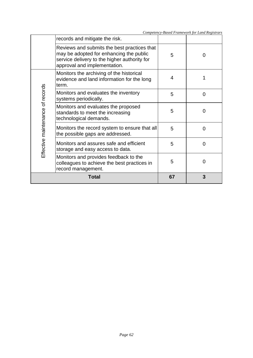|                                  | records and mitigate the risk.                                                                                                                                         |    |          |
|----------------------------------|------------------------------------------------------------------------------------------------------------------------------------------------------------------------|----|----------|
|                                  | Reviews and submits the best practices that<br>may be adopted for enhancing the public<br>service delivery to the higher authority for<br>approval and implementation. | 5  | 0        |
|                                  | Monitors the archiving of the historical<br>evidence and land information for the long<br>term.                                                                        | 4  |          |
|                                  | Monitors and evaluates the inventory<br>systems periodically.                                                                                                          | 5  | 0        |
| Effective maintenance of records | Monitors and evaluates the proposed<br>standards to meet the increasing<br>technological demands.                                                                      | 5  | 0        |
|                                  | Monitors the record system to ensure that all<br>the possible gaps are addressed.                                                                                      | 5  | 0        |
|                                  | Monitors and assures safe and efficient<br>storage and easy access to data.                                                                                            | 5  | $\Omega$ |
|                                  | Monitors and provides feedback to the<br>colleagues to achieve the best practices in<br>record management.                                                             | 5  | 0        |
|                                  | <b>Total</b>                                                                                                                                                           | 67 | 3        |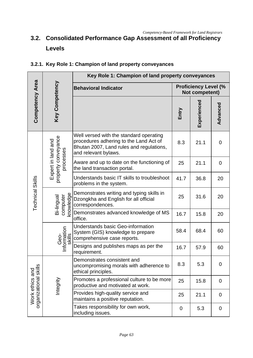## **3.2. Consolidated Performance Gap Assessment of all Proficiency Levels**

|                                          |                                                        | Key Role 1: Champion of land property conveyances                                                                                                     |       |                                               |             |  |  |  |
|------------------------------------------|--------------------------------------------------------|-------------------------------------------------------------------------------------------------------------------------------------------------------|-------|-----------------------------------------------|-------------|--|--|--|
|                                          |                                                        | <b>Behavioral Indicator</b>                                                                                                                           |       | <b>Proficiency Level (%</b><br>Not competent) |             |  |  |  |
| <b>Competency Area</b>                   | Key Competency                                         |                                                                                                                                                       | Entry | Experienced                                   | Advanced    |  |  |  |
| Technical Skills                         | property conveyance<br>Expert in land and<br>processes | Well versed with the standard operating<br>procedures adhering to the Land Act of<br>Bhutan 2007, Land rules and regulations,<br>and relevant bylaws. | 8.3   | 21.1                                          | $\mathbf 0$ |  |  |  |
|                                          |                                                        | Aware and up to date on the functioning of<br>the land transaction portal.                                                                            | 25    | 21.1                                          | $\mathbf 0$ |  |  |  |
|                                          |                                                        | Understands basic IT skills to troubleshoot<br>problems in the system.                                                                                | 41.7  | 36.8                                          | 20          |  |  |  |
|                                          | knowledge<br>computer<br>Bi-lingual                    | Demonstrates writing and typing skills in<br>Dzongkha and English for all official<br>correspondences.                                                | 25    | 31.6                                          | 20          |  |  |  |
|                                          |                                                        | Demonstrates advanced knowledge of MS<br>office.                                                                                                      | 16.7  | 15.8                                          | 20          |  |  |  |
|                                          | Geo-<br>Information<br>skills                          | Understands basic Geo-information<br>System (GIS) knowledge to prepare<br>comprehensive case reports.                                                 | 58.4  | 68.4                                          | 60          |  |  |  |
|                                          |                                                        | Designs and publishes maps as per the<br>requirement.                                                                                                 | 16.7  | 57.9                                          | 60          |  |  |  |
| organizational skills<br>Work ethics and |                                                        | Demonstrates consistent and<br>uncompromising morals with adherence to<br>ethical principles.                                                         | 8.3   | 5.3                                           | 0           |  |  |  |
|                                          | Integrity                                              | Promotes a professional culture to be more<br>productive and motivated at work.                                                                       | 25    | 15.8                                          | $\mathbf 0$ |  |  |  |
|                                          |                                                        | Provides high-quality service and<br>maintains a positive reputation.                                                                                 | 25    | 21.1                                          | $\mathbf 0$ |  |  |  |
|                                          |                                                        | Takes responsibility for own work,<br>including issues.                                                                                               | 0     | 5.3                                           | $\mathbf 0$ |  |  |  |

### **3.2.1. Key Role 1: Champion of land property conveyances**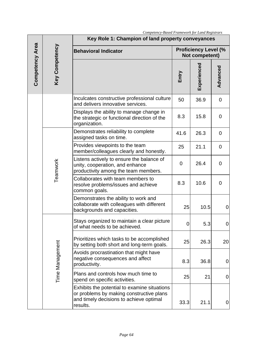|                        | Key Competency  | Competency Basea I ramework for Bana Registrars<br>Key Role 1: Champion of land property conveyances                 |                                               |             |                  |  |  |  |
|------------------------|-----------------|----------------------------------------------------------------------------------------------------------------------|-----------------------------------------------|-------------|------------------|--|--|--|
| <b>Competency Area</b> |                 | <b>Behavioral Indicator</b>                                                                                          | <b>Proficiency Level (%</b><br>Not competent) |             |                  |  |  |  |
|                        |                 |                                                                                                                      | Entry                                         | Experienced | Advanced         |  |  |  |
|                        |                 | Inculcates constructive professional culture<br>and delivers innovative services.                                    | 50                                            | 36.9        | $\mathbf 0$      |  |  |  |
|                        |                 | Displays the ability to manage change in<br>the strategic or functional direction of the<br>organization.            | 8.3                                           | 15.8        | $\mathbf 0$      |  |  |  |
|                        |                 | Demonstrates reliability to complete<br>assigned tasks on time.                                                      | 41.6                                          | 26.3        | $\mathbf 0$      |  |  |  |
|                        | Teamwork        | Provides viewpoints to the team<br>member/colleagues clearly and honestly.                                           | 25                                            | 21.1        | $\mathbf 0$      |  |  |  |
|                        |                 | Listens actively to ensure the balance of<br>unity, cooperation, and enhance<br>productivity among the team members. | 0                                             | 26.4        | $\mathbf 0$      |  |  |  |
|                        |                 | Collaborates with team members to<br>resolve problems/issues and achieve<br>common goals.                            | 8.3                                           | 10.6        | $\Omega$         |  |  |  |
|                        |                 | Demonstrates the ability to work and<br>collaborate with colleagues with different<br>backgrounds and capacities.    | 25                                            | 10.5        | $\mathbf 0$      |  |  |  |
|                        | Time Management | Stays organized to maintain a clear picture<br>of what needs to be achieved.                                         | $\overline{0}$                                | 5.3         | 0                |  |  |  |
|                        |                 | Prioritizes which tasks to be accomplished<br>by setting both short and long-term goals.                             | 25                                            | 26.3        | 20               |  |  |  |
|                        |                 | Avoids procrastination that might have<br>negative consequences and affect<br>productivity.                          | 8.3                                           | 36.8        | 0                |  |  |  |
|                        |                 | Plans and controls how much time to<br>spend on specific activities.                                                 | 25                                            | 21          | $\mathbf 0$      |  |  |  |
|                        |                 | Exhibits the potential to examine situations<br>or problems by making constructive plans                             |                                               |             |                  |  |  |  |
|                        |                 | and timely decisions to achieve optimal<br>results.                                                                  | 33.3                                          | 21.1        | $\boldsymbol{0}$ |  |  |  |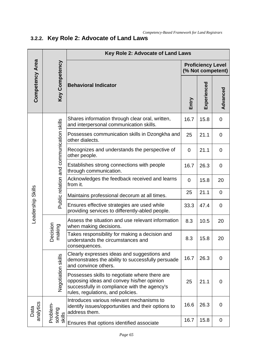# **3.2.2. Key Role 2: Advocate of Land Laws**

|                   |                                          | Key Role 2: Advocate of Land Laws                                                                                                                                               |                |                                               |                |  |  |  |
|-------------------|------------------------------------------|---------------------------------------------------------------------------------------------------------------------------------------------------------------------------------|----------------|-----------------------------------------------|----------------|--|--|--|
|                   | <b>Key Competency</b>                    |                                                                                                                                                                                 |                | <b>Proficiency Level</b><br>(% Not competent) |                |  |  |  |
| Competency Area   |                                          | <b>Behavioral Indicator</b>                                                                                                                                                     | Entry          | Experienced                                   | Advanced       |  |  |  |
|                   |                                          | Shares information through clear oral, written,<br>and interpersonal communication skills.                                                                                      | 16.7           | 15.8                                          | 0              |  |  |  |
|                   |                                          | Possesses communication skills in Dzongkha and<br>other dialects.                                                                                                               | 25             | 21.1                                          | $\overline{0}$ |  |  |  |
|                   |                                          | Recognizes and understands the perspective of<br>other people.                                                                                                                  | $\overline{0}$ | 21.1                                          | $\overline{0}$ |  |  |  |
|                   | Public relation and communication skills | Establishes strong connections with people<br>through communication.                                                                                                            | 16.7           | 26.3                                          | 0              |  |  |  |
|                   |                                          | Acknowledges the feedback received and learns<br>from it.                                                                                                                       | $\overline{0}$ | 15.8                                          | 20             |  |  |  |
| Leadership Skills |                                          | Maintains professional decorum at all times.                                                                                                                                    | 25             | 21.1                                          | $\overline{0}$ |  |  |  |
|                   |                                          | Ensures effective strategies are used while<br>providing services to differently-abled people.                                                                                  | 33.3           | 47.4                                          | $\overline{0}$ |  |  |  |
|                   | ecision<br>naking<br>Ŏ<br>Ξ              | Assess the situation and use relevant information<br>when making decisions.                                                                                                     | 8.3            | 10.5                                          | 20             |  |  |  |
|                   |                                          | Takes responsibility for making a decision and<br>understands the circumstances and<br>consequences.                                                                            | 8.3            | 15.8                                          | 20             |  |  |  |
|                   | Negotiation skills                       | Clearly expresses ideas and suggestions and<br>demonstrates the ability to successfully persuade<br>and convince others.                                                        | 16.7           | 26.3                                          | $\overline{0}$ |  |  |  |
|                   |                                          | Possesses skills to negotiate where there are<br>opposing ideas and convey his/her opinion<br>successfully in compliance with the agency's<br>rules, regulations, and policies. | 25             | 21.1                                          | $\overline{0}$ |  |  |  |
| analytics<br>Data | Problem                                  | Introduces various relevant mechanisms to<br>identify issues/opportunities and their options to<br>address them.                                                                | 16.6           | 26.3                                          | 0              |  |  |  |
|                   | solving<br>skills                        | Ensures that options identified associate                                                                                                                                       | 16.7           | 15.8                                          | 0              |  |  |  |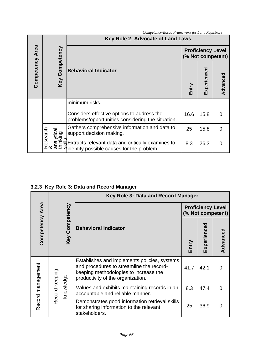|                        | Competency-Based Framework for Land Registrars |                                                                                                                                                                                                                                                                                                                                                                                            |                                               |             |          |  |  |
|------------------------|------------------------------------------------|--------------------------------------------------------------------------------------------------------------------------------------------------------------------------------------------------------------------------------------------------------------------------------------------------------------------------------------------------------------------------------------------|-----------------------------------------------|-------------|----------|--|--|
| <b>Competency Area</b> |                                                | Key Role 2: Advocate of Land Laws                                                                                                                                                                                                                                                                                                                                                          |                                               |             |          |  |  |
|                        | Key Competency                                 | <b>Behavioral Indicator</b>                                                                                                                                                                                                                                                                                                                                                                | <b>Proficiency Level</b><br>(% Not competent) |             |          |  |  |
|                        |                                                |                                                                                                                                                                                                                                                                                                                                                                                            | Entry                                         | Experienced | Advanced |  |  |
|                        |                                                | minimum risks.                                                                                                                                                                                                                                                                                                                                                                             |                                               |             |          |  |  |
|                        |                                                | Considers effective options to address the<br>problems/opportunities considering the situation.                                                                                                                                                                                                                                                                                            | 16.6                                          | 15.8        | $\Omega$ |  |  |
|                        | esearch                                        | Gathers comprehensive information and data to                                                                                                                                                                                                                                                                                                                                              | 25                                            | 15.8        | 0        |  |  |
|                        |                                                | $\frac{1}{10}$<br>$\frac{1}{10}$<br>$\frac{1}{10}$<br>$\frac{1}{10}$<br>$\frac{1}{10}$<br>$\frac{1}{10}$<br>$\frac{1}{10}$<br>$\frac{1}{10}$<br>$\frac{1}{10}$<br>$\frac{1}{10}$<br>$\frac{1}{10}$<br>$\frac{1}{10}$<br>$\frac{1}{10}$<br>$\frac{1}{10}$<br>$\frac{1}{10}$<br>$\frac{1}{10}$<br>$\frac{1}{10}$<br>$\frac{1}{10}$<br>$\frac{1$<br>identify possible causes for the problem. | 8.3                                           | 26.3        | $\Omega$ |  |  |

**3.2.3 Key Role 3: Data and Record Manager**

|                   | Competency Area<br>Key Competency |  | Key Role 3: Data and Record Manager                                                                                                                                     |                                               |             |          |  |  |
|-------------------|-----------------------------------|--|-------------------------------------------------------------------------------------------------------------------------------------------------------------------------|-----------------------------------------------|-------------|----------|--|--|
|                   |                                   |  |                                                                                                                                                                         | <b>Proficiency Level</b><br>(% Not competent) |             |          |  |  |
|                   |                                   |  | <b>Behavioral Indicator</b>                                                                                                                                             | Entry                                         | Experienced | Advanced |  |  |
| Record management |                                   |  | Establishes and implements policies, systems,<br>and procedures to streamline the record-<br>keeping methodologies to increase the<br>productivity of the organization. | 41.7                                          | 42.1        | ∩        |  |  |
|                   | Record keeping<br>knowledge       |  | Values and exhibits maintaining records in an<br>accountable and reliable manner.                                                                                       | 8.3                                           | 47.4        | 0        |  |  |
|                   |                                   |  | Demonstrates good information retrieval skills<br>for sharing information to the relevant<br>stakeholders.                                                              | 25                                            | 36.9        |          |  |  |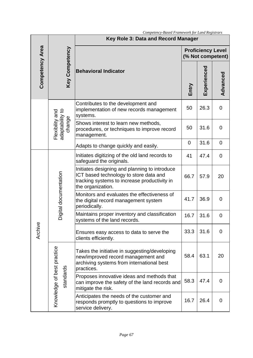|                 |                                                                  | сотретен у-разеа т татемот дот цана кедиятат.<br>Key Role 3: Data and Record Manager                                                                         |             |                                               |                |  |  |
|-----------------|------------------------------------------------------------------|--------------------------------------------------------------------------------------------------------------------------------------------------------------|-------------|-----------------------------------------------|----------------|--|--|
|                 |                                                                  |                                                                                                                                                              |             | <b>Proficiency Level</b><br>(% Not competent) |                |  |  |
| Competency Area | <b>Key Competency</b>                                            | <b>Behavioral Indicator</b>                                                                                                                                  | Entry       | Experienced                                   | Advanced       |  |  |
|                 | adaptability to<br>Flexibility and<br>change                     | Contributes to the development and<br>implementation of new records management<br>systems.                                                                   | 50          | 26.3                                          | $\overline{0}$ |  |  |
|                 |                                                                  | Shows interest to learn new methods,<br>procedures, or techniques to improve record<br>management.                                                           | 50          | 31.6                                          | $\overline{0}$ |  |  |
|                 |                                                                  | Adapts to change quickly and easily.                                                                                                                         | $\mathbf 0$ | 31.6                                          | $\overline{0}$ |  |  |
|                 | Digital documentation<br>Knowledge of best practice<br>standards | Initiates digitizing of the old land records to<br>safeguard the originals.                                                                                  | 41          | 47.4                                          | $\mathbf 0$    |  |  |
|                 |                                                                  | Initiates designing and planning to introduce<br>ICT based technology to store data and<br>tracking systems to increase productivity in<br>the organization. | 66.7        | 57.9                                          | 20             |  |  |
|                 |                                                                  | Monitors and evaluates the effectiveness of<br>the digital record management system<br>periodically.                                                         | 41.7        | 36.9                                          | $\overline{0}$ |  |  |
|                 |                                                                  | Maintains proper inventory and classification<br>systems of the land records.                                                                                | 16.7        | 31.6                                          | 0              |  |  |
| Archive         |                                                                  | Ensures easy access to data to serve the<br>clients efficiently.                                                                                             | 33.3        | 31.6                                          | $\Omega$       |  |  |
|                 |                                                                  | Takes the initiative in suggesting/developing<br>new/improved record management and<br>archiving systems from international best<br>practices.               | 58.4        | 63.1                                          | 20             |  |  |
|                 |                                                                  | Proposes innovative ideas and methods that<br>can improve the safety of the land records and<br>mitigate the risk.                                           | 58.3        | 47.4                                          | $\mathbf 0$    |  |  |
|                 |                                                                  | Anticipates the needs of the customer and<br>responds promptly to questions to improve<br>service delivery.                                                  | 16.7        | 26.4                                          | $\Omega$       |  |  |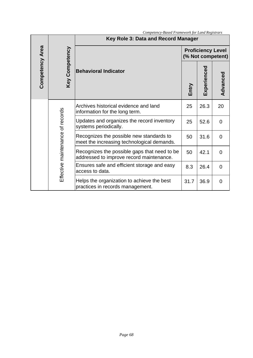|                 | Competency-Based Framework for Land Registrars |                                                                                          |       |                                               |                |  |  |  |
|-----------------|------------------------------------------------|------------------------------------------------------------------------------------------|-------|-----------------------------------------------|----------------|--|--|--|
|                 |                                                | Key Role 3: Data and Record Manager                                                      |       |                                               |                |  |  |  |
|                 | Key Competency                                 | <b>Behavioral Indicator</b>                                                              |       | <b>Proficiency Level</b><br>(% Not competent) |                |  |  |  |
| Competency Area |                                                |                                                                                          | Entry | Experienced                                   | Advanced       |  |  |  |
|                 | Effective maintenance of records               | Archives historical evidence and land<br>information for the long term.                  | 25    | 26.3                                          | 20             |  |  |  |
|                 |                                                | Updates and organizes the record inventory<br>systems periodically.                      | 25    | 52.6                                          | $\Omega$       |  |  |  |
|                 |                                                | Recognizes the possible new standards to<br>meet the increasing technological demands.   | 50    | 31.6                                          | $\Omega$       |  |  |  |
|                 |                                                | Recognizes the possible gaps that need to be<br>addressed to improve record maintenance. | 50    | 42.1                                          | $\Omega$       |  |  |  |
|                 |                                                | Ensures safe and efficient storage and easy<br>access to data.                           | 8.3   | 26.4                                          | $\Omega$       |  |  |  |
|                 |                                                | Helps the organization to achieve the best<br>practices in records management.           | 31.7  | 36.9                                          | $\overline{0}$ |  |  |  |